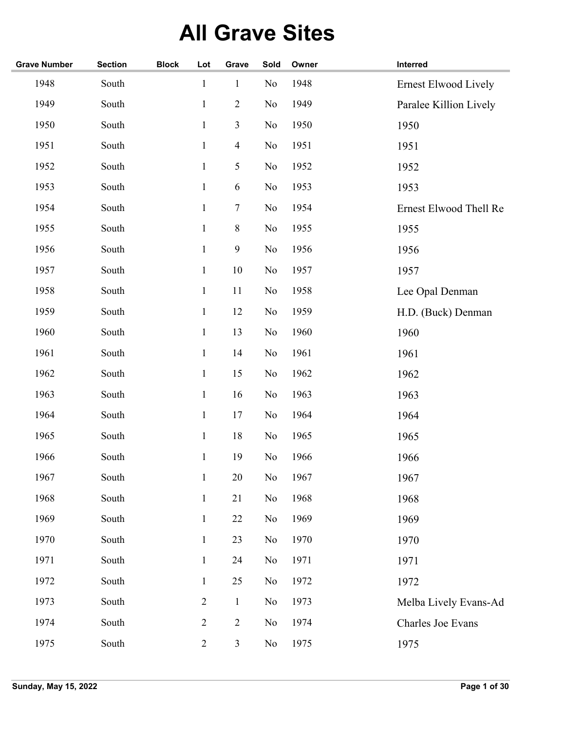## **All Grave Sites**

| <b>Grave Number</b> | <b>Section</b> | <b>Block</b> | Lot            | Grave          | Sold     | Owner | Interred                    |
|---------------------|----------------|--------------|----------------|----------------|----------|-------|-----------------------------|
| 1948                | South          |              | $\mathbf{1}$   | $\mathbf{1}$   | $\rm No$ | 1948  | <b>Ernest Elwood Lively</b> |
| 1949                | South          |              | $\mathbf{1}$   | $\overline{2}$ | No       | 1949  | Paralee Killion Lively      |
| 1950                | South          |              | $\mathbf{1}$   | 3              | No       | 1950  | 1950                        |
| 1951                | South          |              | $\mathbf{1}$   | $\overline{4}$ | No       | 1951  | 1951                        |
| 1952                | South          |              | $\mathbf{1}$   | 5              | No       | 1952  | 1952                        |
| 1953                | South          |              | $\mathbf{1}$   | 6              | No       | 1953  | 1953                        |
| 1954                | South          |              | 1              | 7              | No       | 1954  | Ernest Elwood Thell Re      |
| 1955                | South          |              | $\mathbf{1}$   | 8              | No       | 1955  | 1955                        |
| 1956                | South          |              | $\mathbf{1}$   | $\overline{9}$ | No       | 1956  | 1956                        |
| 1957                | South          |              | $\mathbf{1}$   | $10\,$         | No       | 1957  | 1957                        |
| 1958                | South          |              | $\mathbf{1}$   | 11             | No       | 1958  | Lee Opal Denman             |
| 1959                | South          |              | $\mathbf{1}$   | 12             | No       | 1959  | H.D. (Buck) Denman          |
| 1960                | South          |              | $\mathbf{1}$   | 13             | No       | 1960  | 1960                        |
| 1961                | South          |              | $\mathbf{1}$   | 14             | No       | 1961  | 1961                        |
| 1962                | South          |              | $\mathbf{1}$   | 15             | No       | 1962  | 1962                        |
| 1963                | South          |              | $\mathbf{1}$   | 16             | No       | 1963  | 1963                        |
| 1964                | South          |              | $\mathbf{1}$   | 17             | No       | 1964  | 1964                        |
| 1965                | South          |              | $\mathbf{1}$   | 18             | No       | 1965  | 1965                        |
| 1966                | South          |              | $\mathbf{1}$   | 19             | No       | 1966  | 1966                        |
| 1967                | South          |              | $\mathbf{1}$   | $20\,$         | No       | 1967  | 1967                        |
| 1968                | South          |              | $\mathbf{1}$   | 21             | No       | 1968  | 1968                        |
| 1969                | South          |              | $\mathbf{1}$   | $22\,$         | No       | 1969  | 1969                        |
| 1970                | South          |              | $\mathbf{1}$   | 23             | No       | 1970  | 1970                        |
| 1971                | South          |              | $\mathbf{1}$   | 24             | No       | 1971  | 1971                        |
| 1972                | South          |              | $\mathbf{1}$   | 25             | No       | 1972  | 1972                        |
| 1973                | South          |              | $\sqrt{2}$     | $\mathbf{1}$   | No       | 1973  | Melba Lively Evans-Ad       |
| 1974                | South          |              | $\overline{2}$ | $\overline{2}$ | No       | 1974  | Charles Joe Evans           |
| 1975                | South          |              | $\overline{2}$ | $\mathfrak{Z}$ | No       | 1975  | 1975                        |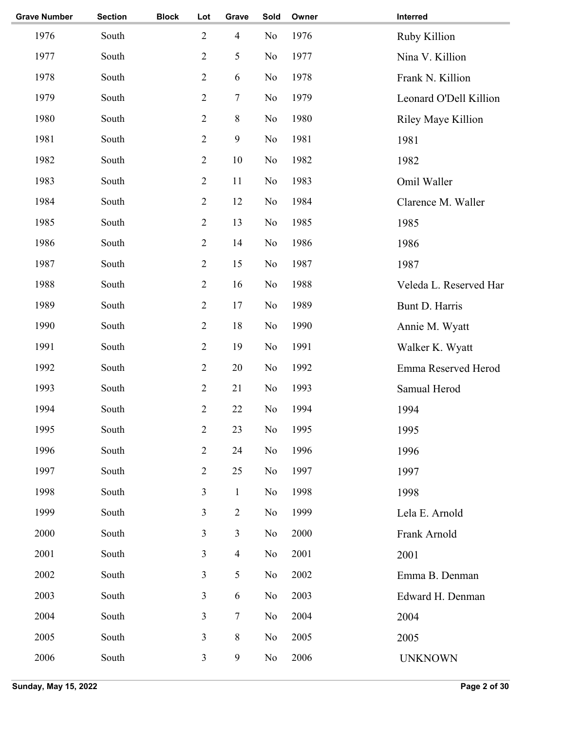| <b>Section</b> | <b>Block</b> | Lot            | Grave            | Sold           | Owner | Interred               |
|----------------|--------------|----------------|------------------|----------------|-------|------------------------|
| South          |              | $\overline{2}$ | $\overline{4}$   | No             | 1976  | Ruby Killion           |
| South          |              | $\overline{2}$ | $\mathfrak{S}$   | No             | 1977  | Nina V. Killion        |
| South          |              | $\sqrt{2}$     | $\sqrt{6}$       | No             | 1978  | Frank N. Killion       |
| South          |              | $\sqrt{2}$     | $\boldsymbol{7}$ | No             | 1979  | Leonard O'Dell Killion |
| South          |              | $\sqrt{2}$     | $\,8\,$          | No             | 1980  | Riley Maye Killion     |
| South          |              | $\overline{2}$ | $\mathbf{9}$     | No             | 1981  | 1981                   |
| South          |              | $\overline{2}$ | 10               | No             | 1982  | 1982                   |
| South          |              | $\overline{2}$ | 11               | No             | 1983  | Omil Waller            |
| South          |              | $\overline{2}$ | 12               | No             | 1984  | Clarence M. Waller     |
| South          |              | $\sqrt{2}$     | 13               | No             | 1985  | 1985                   |
| South          |              | $\sqrt{2}$     | 14               | No             | 1986  | 1986                   |
| South          |              | $\sqrt{2}$     | 15               | No             | 1987  | 1987                   |
| South          |              | $\sqrt{2}$     | 16               | No             | 1988  | Veleda L. Reserved Har |
| South          |              | $\sqrt{2}$     | 17               | No             | 1989  | Bunt D. Harris         |
| South          |              | $\overline{2}$ | 18               | No             | 1990  | Annie M. Wyatt         |
| South          |              | $\overline{2}$ | 19               | No             | 1991  | Walker K. Wyatt        |
| South          |              | $\overline{2}$ | 20               | No             | 1992  | Emma Reserved Herod    |
| South          |              | $\sqrt{2}$     | 21               | No             | 1993  | Samual Herod           |
| South          |              | $\overline{2}$ | 22               | No             | 1994  | 1994                   |
| South          |              | $\overline{2}$ | 23               | $\rm No$       | 1995  | 1995                   |
| South          |              | $\overline{2}$ | 24               | No             | 1996  | 1996                   |
| South          |              | $\sqrt{2}$     | 25               | No             | 1997  | 1997                   |
| South          |              | $\mathfrak{Z}$ | $\mathbf{1}$     | No             | 1998  | 1998                   |
| South          |              | $\mathfrak{Z}$ | $\overline{2}$   | No             | 1999  | Lela E. Arnold         |
| South          |              | $\mathfrak{Z}$ | $\overline{3}$   | No             | 2000  | Frank Arnold           |
| South          |              | $\overline{3}$ | $\overline{4}$   | No             | 2001  | 2001                   |
| South          |              | $\mathfrak{Z}$ | $\mathfrak{S}$   | No             | 2002  | Emma B. Denman         |
| South          |              | $\mathfrak{Z}$ | 6                | No             | 2003  | Edward H. Denman       |
| South          |              | $\mathfrak{Z}$ | $\tau$           | N <sub>0</sub> | 2004  | 2004                   |
| South          |              | $\mathfrak{Z}$ | $\,8\,$          | N <sub>0</sub> | 2005  | 2005                   |
| South          |              | $\mathfrak{Z}$ | $\mathbf{9}$     | No             | 2006  | <b>UNKNOWN</b>         |
|                |              |                |                  |                |       |                        |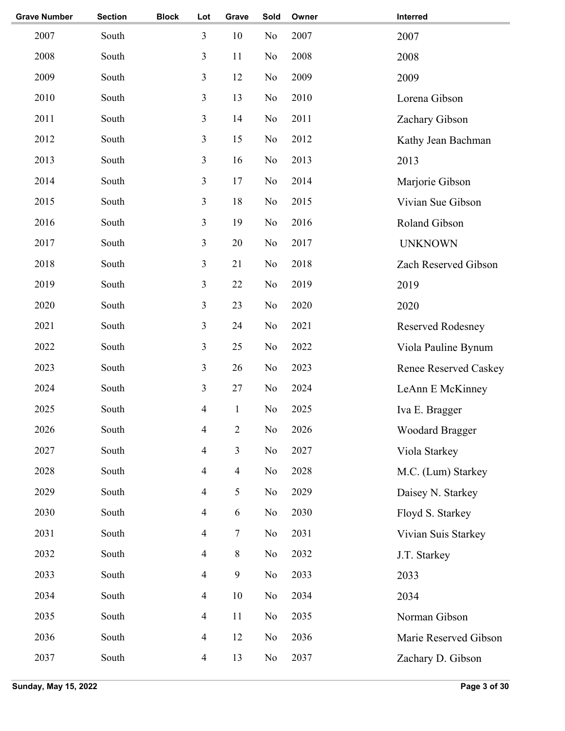| <b>Grave Number</b> | <b>Section</b> | <b>Block</b> | Lot                      | Grave          | Sold           | Owner | Interred                     |
|---------------------|----------------|--------------|--------------------------|----------------|----------------|-------|------------------------------|
| 2007                | South          |              | 3                        | 10             | No             | 2007  | 2007                         |
| 2008                | South          |              | 3                        | 11             | No             | 2008  | 2008                         |
| 2009                | South          |              | $\mathfrak{Z}$           | 12             | N <sub>o</sub> | 2009  | 2009                         |
| 2010                | South          |              | $\mathfrak{Z}$           | 13             | N <sub>o</sub> | 2010  | Lorena Gibson                |
| 2011                | South          |              | 3                        | 14             | N <sub>o</sub> | 2011  | Zachary Gibson               |
| 2012                | South          |              | $\mathfrak{Z}$           | 15             | N <sub>o</sub> | 2012  | Kathy Jean Bachman           |
| 2013                | South          |              | 3                        | 16             | No             | 2013  | 2013                         |
| 2014                | South          |              | 3                        | 17             | N <sub>o</sub> | 2014  | Marjorie Gibson              |
| 2015                | South          |              | 3                        | 18             | No             | 2015  | Vivian Sue Gibson            |
| 2016                | South          |              | 3                        | 19             | N <sub>o</sub> | 2016  | Roland Gibson                |
| 2017                | South          |              | 3                        | 20             | N <sub>o</sub> | 2017  | <b>UNKNOWN</b>               |
| 2018                | South          |              | 3                        | 21             | N <sub>o</sub> | 2018  | Zach Reserved Gibson         |
| 2019                | South          |              | 3                        | 22             | No             | 2019  | 2019                         |
| 2020                | South          |              | 3                        | 23             | N <sub>o</sub> | 2020  | 2020                         |
| 2021                | South          |              | 3                        | 24             | No             | 2021  | <b>Reserved Rodesney</b>     |
| 2022                | South          |              | 3                        | 25             | N <sub>o</sub> | 2022  | Viola Pauline Bynum          |
| 2023                | South          |              | 3                        | 26             | No             | 2023  | <b>Renee Reserved Caskey</b> |
| 2024                | South          |              | 3                        | 27             | No             | 2024  | LeAnn E McKinney             |
| 2025                | South          |              | 4                        | $\mathbf{1}$   | N <sub>o</sub> | 2025  | Iva E. Bragger               |
| 2026                | South          |              | 4                        | $\overline{2}$ | $\rm No$       | 2026  | <b>Woodard Bragger</b>       |
| 2027                | South          |              | $\overline{4}$           | 3              | No             | 2027  | Viola Starkey                |
| 2028                | South          |              | $\overline{4}$           | $\overline{4}$ | No             | 2028  | M.C. (Lum) Starkey           |
| 2029                | South          |              | $\overline{4}$           | 5              | N <sub>0</sub> | 2029  | Daisey N. Starkey            |
| 2030                | South          |              | 4                        | 6              | N <sub>o</sub> | 2030  | Floyd S. Starkey             |
| 2031                | South          |              | $\overline{4}$           | 7              | N <sub>o</sub> | 2031  | Vivian Suis Starkey          |
| 2032                | South          |              | 4                        | $\,8\,$        | N <sub>0</sub> | 2032  | J.T. Starkey                 |
| 2033                | South          |              | $\overline{4}$           | $\overline{9}$ | N <sub>o</sub> | 2033  | 2033                         |
| 2034                | South          |              | $\overline{4}$           | 10             | No             | 2034  | 2034                         |
| 2035                | South          |              | $\overline{4}$           | 11             | No             | 2035  | Norman Gibson                |
| 2036                | South          |              | 4                        | 12             | No             | 2036  | Marie Reserved Gibson        |
| 2037                | South          |              | $\overline{\mathcal{A}}$ | 13             | N <sub>0</sub> | 2037  | Zachary D. Gibson            |
|                     |                |              |                          |                |                |       |                              |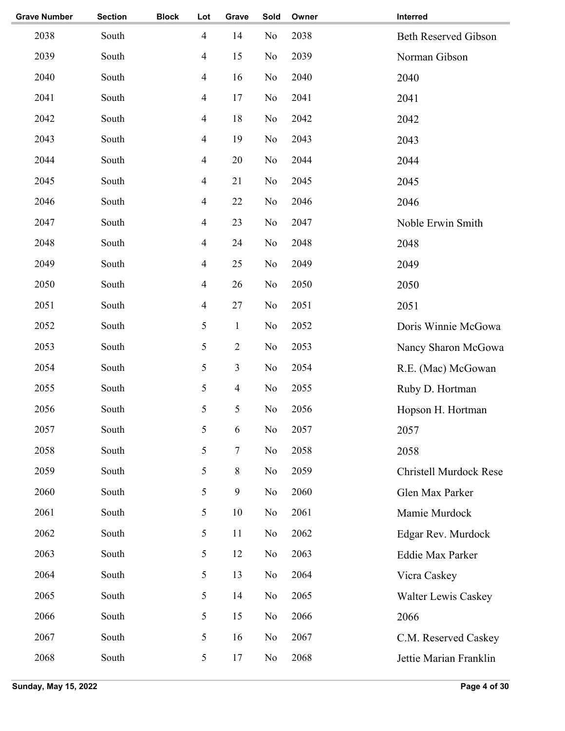| <b>Grave Number</b> | <b>Section</b> | <b>Block</b> | Lot            | Grave          | Sold | Owner | Interred                      |
|---------------------|----------------|--------------|----------------|----------------|------|-------|-------------------------------|
| 2038                | South          |              | $\overline{4}$ | 14             | No   | 2038  | <b>Beth Reserved Gibson</b>   |
| 2039                | South          |              | $\overline{4}$ | 15             | No   | 2039  | Norman Gibson                 |
| 2040                | South          |              | $\overline{4}$ | 16             | No   | 2040  | 2040                          |
| 2041                | South          |              | $\overline{4}$ | 17             | No   | 2041  | 2041                          |
| 2042                | South          |              | $\overline{4}$ | 18             | No   | 2042  | 2042                          |
| 2043                | South          |              | $\overline{4}$ | 19             | No   | 2043  | 2043                          |
| 2044                | South          |              | $\overline{4}$ | 20             | No   | 2044  | 2044                          |
| 2045                | South          |              | $\overline{4}$ | 21             | No   | 2045  | 2045                          |
| 2046                | South          |              | $\overline{4}$ | 22             | No   | 2046  | 2046                          |
| 2047                | South          |              | $\overline{4}$ | 23             | No   | 2047  | Noble Erwin Smith             |
| 2048                | South          |              | $\overline{4}$ | 24             | No   | 2048  | 2048                          |
| 2049                | South          |              | $\overline{4}$ | 25             | No   | 2049  | 2049                          |
| 2050                | South          |              | $\overline{4}$ | 26             | No   | 2050  | 2050                          |
| 2051                | South          |              | $\overline{4}$ | 27             | No   | 2051  | 2051                          |
| 2052                | South          |              | 5              | $\mathbf{1}$   | No   | 2052  | Doris Winnie McGowa           |
| 2053                | South          |              | 5              | $\overline{2}$ | No   | 2053  | Nancy Sharon McGowa           |
| 2054                | South          |              | 5              | 3              | No   | 2054  | R.E. (Mac) McGowan            |
| 2055                | South          |              | 5              | $\overline{4}$ | No   | 2055  | Ruby D. Hortman               |
| 2056                | South          |              | 5              | 5              | No   | 2056  | Hopson H. Hortman             |
| 2057                | South          |              | 5              | 6              | No   | 2057  | 2057                          |
| 2058                | South          |              | 5              | 7              | No   | 2058  | 2058                          |
| 2059                | South          |              | 5              | $8\,$          | No   | 2059  | <b>Christell Murdock Rese</b> |
| 2060                | South          |              | 5              | 9              | No   | 2060  | Glen Max Parker               |
| 2061                | South          |              | 5              | 10             | No   | 2061  | Mamie Murdock                 |
| 2062                | South          |              | 5              | 11             | No   | 2062  | Edgar Rev. Murdock            |
| 2063                | South          |              | 5              | 12             | No   | 2063  | <b>Eddie Max Parker</b>       |
| 2064                | South          |              | 5              | 13             | No   | 2064  | Vicra Caskey                  |
| 2065                | South          |              | 5              | 14             | No   | 2065  | <b>Walter Lewis Caskey</b>    |
| 2066                | South          |              | 5              | 15             | No   | 2066  | 2066                          |
| 2067                | South          |              | 5              | 16             | No   | 2067  | C.M. Reserved Caskey          |
| 2068                | South          |              | 5              | 17             | No   | 2068  | Jettie Marian Franklin        |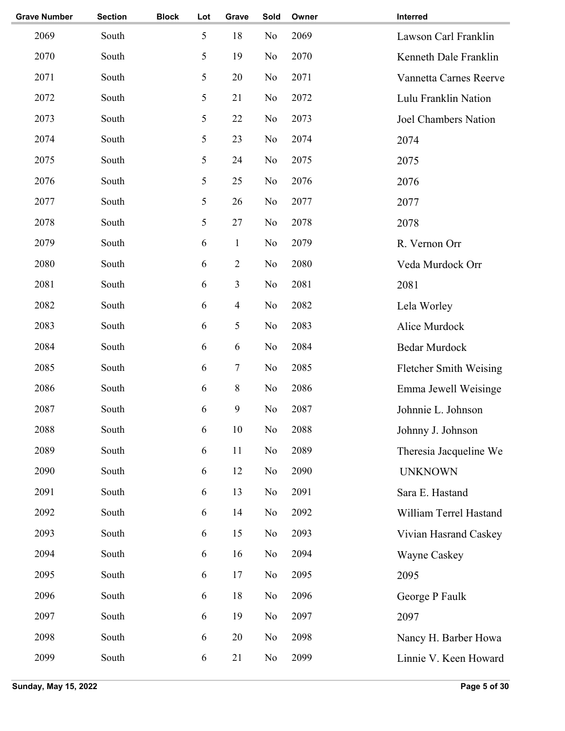| <b>Grave Number</b> | <b>Section</b> | <b>Block</b> | Lot | Grave            | Sold     | Owner | Interred                      |
|---------------------|----------------|--------------|-----|------------------|----------|-------|-------------------------------|
| 2069                | South          |              | 5   | 18               | No       | 2069  | Lawson Carl Franklin          |
| 2070                | South          |              | 5   | 19               | No       | 2070  | Kenneth Dale Franklin         |
| 2071                | South          |              | 5   | 20               | No       | 2071  | Vannetta Carnes Reerve        |
| 2072                | South          |              | 5   | 21               | No       | 2072  | Lulu Franklin Nation          |
| 2073                | South          |              | 5   | 22               | No       | 2073  | <b>Joel Chambers Nation</b>   |
| 2074                | South          |              | 5   | 23               | No       | 2074  | 2074                          |
| 2075                | South          |              | 5   | 24               | No       | 2075  | 2075                          |
| 2076                | South          |              | 5   | 25               | No       | 2076  | 2076                          |
| 2077                | South          |              | 5   | 26               | No       | 2077  | 2077                          |
| 2078                | South          |              | 5   | 27               | No       | 2078  | 2078                          |
| 2079                | South          |              | 6   | $\mathbf{1}$     | No       | 2079  | R. Vernon Orr                 |
| 2080                | South          |              | 6   | $\overline{2}$   | No       | 2080  | Veda Murdock Orr              |
| 2081                | South          |              | 6   | 3                | No       | 2081  | 2081                          |
| 2082                | South          |              | 6   | $\overline{4}$   | No       | 2082  | Lela Worley                   |
| 2083                | South          |              | 6   | 5                | No       | 2083  | Alice Murdock                 |
| 2084                | South          |              | 6   | 6                | No       | 2084  | <b>Bedar Murdock</b>          |
| 2085                | South          |              | 6   | 7                | No       | 2085  | <b>Fletcher Smith Weising</b> |
| 2086                | South          |              | 6   | 8                | No       | 2086  | Emma Jewell Weisinge          |
| 2087                | South          |              | 6   | $\boldsymbol{9}$ | No       | 2087  | Johnnie L. Johnson            |
| 2088                | South          |              | 6   | 10               | $\rm No$ | 2088  | Johnny J. Johnson             |
| 2089                | South          |              | 6   | 11               | No       | 2089  | Theresia Jacqueline We        |
| 2090                | South          |              | 6   | 12               | No       | 2090  | <b>UNKNOWN</b>                |
| 2091                | South          |              | 6   | 13               | No       | 2091  | Sara E. Hastand               |
| 2092                | South          |              | 6   | 14               | No       | 2092  | William Terrel Hastand        |
| 2093                | South          |              | 6   | 15               | No       | 2093  | Vivian Hasrand Caskey         |
| 2094                | South          |              | 6   | 16               | No       | 2094  | Wayne Caskey                  |
| 2095                | South          |              | 6   | 17               | No       | 2095  | 2095                          |
| 2096                | South          |              | 6   | 18               | No       | 2096  | George P Faulk                |
| 2097                | South          |              | 6   | 19               | No       | 2097  | 2097                          |
| 2098                | South          |              | 6   | 20               | No       | 2098  | Nancy H. Barber Howa          |
| 2099                | South          |              | 6   | 21               | No       | 2099  | Linnie V. Keen Howard         |
|                     |                |              |     |                  |          |       |                               |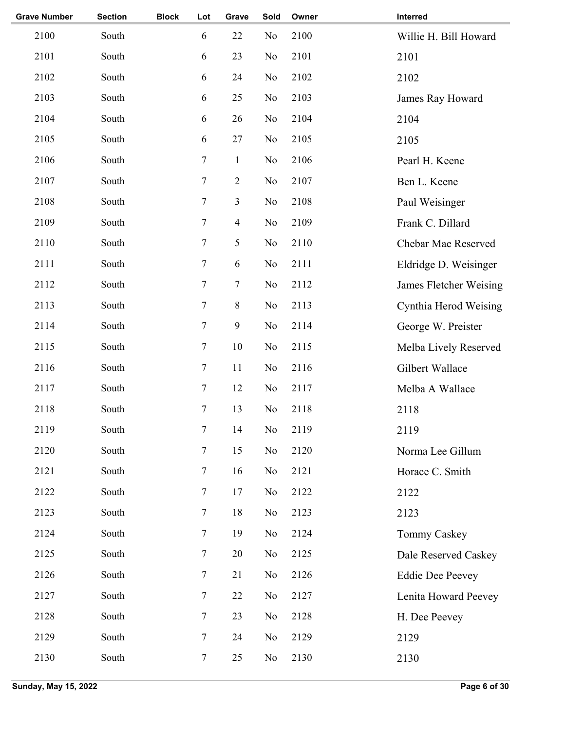| <b>Grave Number</b> | <b>Section</b> | <b>Block</b> | Lot            | Grave          | Sold           | Owner | Interred                |
|---------------------|----------------|--------------|----------------|----------------|----------------|-------|-------------------------|
| 2100                | South          |              | 6              | 22             | N <sub>o</sub> | 2100  | Willie H. Bill Howard   |
| 2101                | South          |              | 6              | 23             | No             | 2101  | 2101                    |
| 2102                | South          |              | 6              | 24             | N <sub>o</sub> | 2102  | 2102                    |
| 2103                | South          |              | 6              | 25             | N <sub>o</sub> | 2103  | James Ray Howard        |
| 2104                | South          |              | 6              | 26             | N <sub>o</sub> | 2104  | 2104                    |
| 2105                | South          |              | 6              | 27             | N <sub>o</sub> | 2105  | 2105                    |
| 2106                | South          |              | $\tau$         | $\mathbf{1}$   | N <sub>o</sub> | 2106  | Pearl H. Keene          |
| 2107                | South          |              | $\tau$         | $\overline{2}$ | N <sub>o</sub> | 2107  | Ben L. Keene            |
| 2108                | South          |              | $\tau$         | 3              | N <sub>o</sub> | 2108  | Paul Weisinger          |
| 2109                | South          |              | $\tau$         | $\overline{4}$ | N <sub>o</sub> | 2109  | Frank C. Dillard        |
| 2110                | South          |              | $\tau$         | 5              | No             | 2110  | Chebar Mae Reserved     |
| 2111                | South          |              | $\tau$         | 6              | No             | 2111  | Eldridge D. Weisinger   |
| 2112                | South          |              | $\tau$         | $\tau$         | No             | 2112  | James Fletcher Weising  |
| 2113                | South          |              | $\tau$         | $8\,$          | N <sub>o</sub> | 2113  | Cynthia Herod Weising   |
| 2114                | South          |              | $\overline{7}$ | 9              | N <sub>o</sub> | 2114  | George W. Preister      |
| 2115                | South          |              | $\tau$         | 10             | N <sub>o</sub> | 2115  | Melba Lively Reserved   |
| 2116                | South          |              | $\tau$         | 11             | N <sub>o</sub> | 2116  | Gilbert Wallace         |
| 2117                | South          |              | $\tau$         | 12             | N <sub>o</sub> | 2117  | Melba A Wallace         |
| 2118                | South          |              | $\tau$         | 13             | N <sub>o</sub> | 2118  | 2118                    |
| 2119                | South          |              | 7              | 14             | No             | 2119  | 2119                    |
| 2120                | South          |              | $\tau$         | 15             | No             | 2120  | Norma Lee Gillum        |
| 2121                | South          |              | $\tau$         | 16             | N <sub>o</sub> | 2121  | Horace C. Smith         |
| 2122                | South          |              | $\tau$         | 17             | No             | 2122  | 2122                    |
| 2123                | South          |              | $\tau$         | 18             | N <sub>o</sub> | 2123  | 2123                    |
| 2124                | South          |              | $\tau$         | 19             | N <sub>o</sub> | 2124  | Tommy Caskey            |
| 2125                | South          |              | $\tau$         | 20             | No             | 2125  | Dale Reserved Caskey    |
| 2126                | South          |              | $\tau$         | 21             | No             | 2126  | <b>Eddie Dee Peevey</b> |
| 2127                | South          |              | $\tau$         | 22             | No             | 2127  | Lenita Howard Peevey    |
| 2128                | South          |              | $\tau$         | 23             | No             | 2128  | H. Dee Peevey           |
| 2129                | South          |              | $\tau$         | 24             | N <sub>o</sub> | 2129  | 2129                    |
| 2130                | South          |              | $\tau$         | 25             | N <sub>0</sub> | 2130  | 2130                    |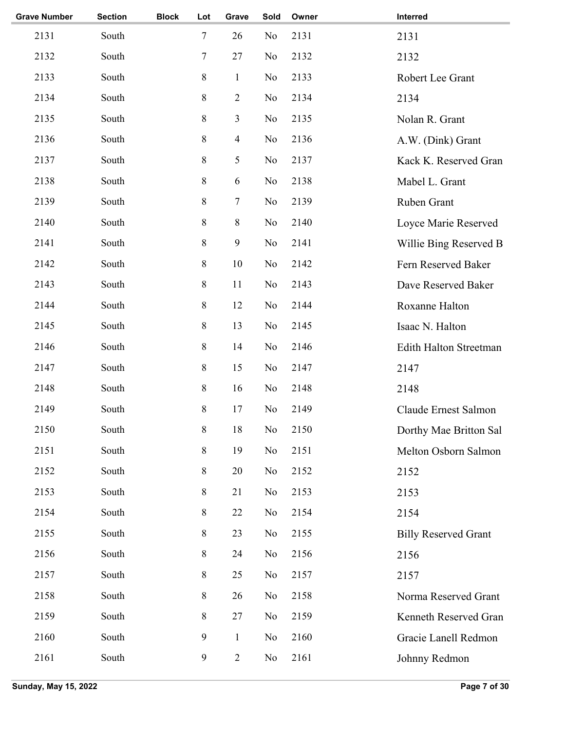| <b>Grave Number</b> | <b>Section</b> | <b>Block</b> | Lot              | Grave            | Sold           | Owner | Interred                      |
|---------------------|----------------|--------------|------------------|------------------|----------------|-------|-------------------------------|
| 2131                | South          |              | $\tau$           | 26               | No             | 2131  | 2131                          |
| 2132                | South          |              | 7                | 27               | No             | 2132  | 2132                          |
| 2133                | South          |              | $\,8\,$          | $\mathbf{1}$     | No             | 2133  | Robert Lee Grant              |
| 2134                | South          |              | $\,8\,$          | $\overline{2}$   | No             | 2134  | 2134                          |
| 2135                | South          |              | $\,8\,$          | 3                | No             | 2135  | Nolan R. Grant                |
| 2136                | South          |              | $\,8\,$          | $\overline{4}$   | No             | 2136  | A.W. (Dink) Grant             |
| 2137                | South          |              | $\,8\,$          | 5                | No             | 2137  | Kack K. Reserved Gran         |
| 2138                | South          |              | $\,8\,$          | 6                | No             | 2138  | Mabel L. Grant                |
| 2139                | South          |              | $\,8\,$          | 7                | No             | 2139  | Ruben Grant                   |
| 2140                | South          |              | $\,8\,$          | $\,8\,$          | No             | 2140  | Loyce Marie Reserved          |
| 2141                | South          |              | $\,8\,$          | $\boldsymbol{9}$ | No             | 2141  | Willie Bing Reserved B        |
| 2142                | South          |              | $\,8\,$          | 10               | No             | 2142  | Fern Reserved Baker           |
| 2143                | South          |              | $\,8\,$          | 11               | No             | 2143  | Dave Reserved Baker           |
| 2144                | South          |              | $\,8\,$          | 12               | No             | 2144  | Roxanne Halton                |
| 2145                | South          |              | $\,8\,$          | 13               | No             | 2145  | Isaac N. Halton               |
| 2146                | South          |              | $\,8\,$          | 14               | No             | 2146  | <b>Edith Halton Streetman</b> |
| 2147                | South          |              | $\,8\,$          | 15               | No             | 2147  | 2147                          |
| 2148                | South          |              | $\,8\,$          | 16               | No             | 2148  | 2148                          |
| 2149                | South          |              | 8                | 17               | No             | 2149  | Claude Ernest Salmon          |
| 2150                | South          |              | $\,8\,$          | $18\,$           | No             | 2150  | Dorthy Mae Britton Sal        |
| 2151                | South          |              | $\,8\,$          | 19               | No             | 2151  | Melton Osborn Salmon          |
| 2152                | South          |              | $\, 8$           | 20               | No             | 2152  | 2152                          |
| 2153                | South          |              | $\,8\,$          | 21               | No             | 2153  | 2153                          |
| 2154                | South          |              | $\,8\,$          | 22               | No             | 2154  | 2154                          |
| 2155                | South          |              | $\,8\,$          | 23               | No             | 2155  | <b>Billy Reserved Grant</b>   |
| 2156                | South          |              | $\,8\,$          | 24               | No             | 2156  | 2156                          |
| 2157                | South          |              | $\, 8$           | 25               | No             | 2157  | 2157                          |
| 2158                | South          |              | $\,8\,$          | 26               | No             | 2158  | Norma Reserved Grant          |
| 2159                | South          |              | $\,8\,$          | 27               | N <sub>o</sub> | 2159  | Kenneth Reserved Gran         |
| 2160                | South          |              | $\boldsymbol{9}$ | $\mathbf{1}$     | No             | 2160  | Gracie Lanell Redmon          |
| 2161                | South          |              | $\boldsymbol{9}$ | $\overline{2}$   | No             | 2161  | Johnny Redmon                 |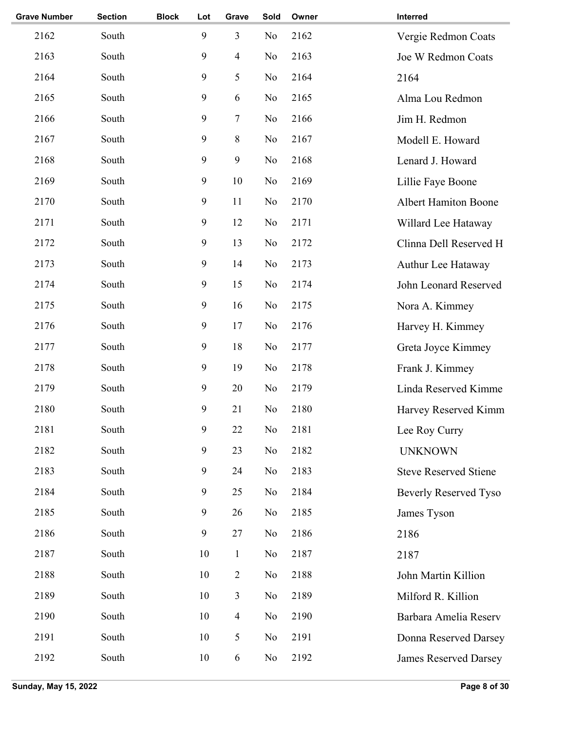| <b>Grave Number</b> | <b>Section</b> | <b>Block</b> | Lot              | Grave            | Sold | Owner | Interred                     |
|---------------------|----------------|--------------|------------------|------------------|------|-------|------------------------------|
| 2162                | South          |              | 9                | 3                | No   | 2162  | Vergie Redmon Coats          |
| 2163                | South          |              | 9                | $\overline{4}$   | No   | 2163  | Joe W Redmon Coats           |
| 2164                | South          |              | $\boldsymbol{9}$ | $\mathfrak{S}$   | No   | 2164  | 2164                         |
| 2165                | South          |              | $\boldsymbol{9}$ | 6                | No   | 2165  | Alma Lou Redmon              |
| 2166                | South          |              | 9                | $\tau$           | No   | 2166  | Jim H. Redmon                |
| 2167                | South          |              | 9                | $\,8\,$          | No   | 2167  | Modell E. Howard             |
| 2168                | South          |              | $\boldsymbol{9}$ | $\boldsymbol{9}$ | No   | 2168  | Lenard J. Howard             |
| 2169                | South          |              | 9                | 10               | No   | 2169  | Lillie Faye Boone            |
| 2170                | South          |              | 9                | 11               | No   | 2170  | <b>Albert Hamiton Boone</b>  |
| 2171                | South          |              | 9                | 12               | No   | 2171  | Willard Lee Hataway          |
| 2172                | South          |              | $\boldsymbol{9}$ | 13               | No   | 2172  | Clinna Dell Reserved H       |
| 2173                | South          |              | 9                | 14               | No   | 2173  | Authur Lee Hataway           |
| 2174                | South          |              | 9                | 15               | No   | 2174  | John Leonard Reserved        |
| 2175                | South          |              | 9                | 16               | No   | 2175  | Nora A. Kimmey               |
| 2176                | South          |              | $\boldsymbol{9}$ | 17               | No   | 2176  | Harvey H. Kimmey             |
| 2177                | South          |              | 9                | 18               | No   | 2177  | Greta Joyce Kimmey           |
| 2178                | South          |              | 9                | 19               | No   | 2178  | Frank J. Kimmey              |
| 2179                | South          |              | 9                | 20               | No   | 2179  | Linda Reserved Kimme         |
| 2180                | South          |              | 9                | 21               | No   | 2180  | Harvey Reserved Kimm         |
| 2181                | South          |              | $\boldsymbol{9}$ | 22               | No   | 2181  | Lee Roy Curry                |
| 2182                | South          |              | 9                | 23               | No   | 2182  | <b>UNKNOWN</b>               |
| 2183                | South          |              | $\boldsymbol{9}$ | 24               | No   | 2183  | <b>Steve Reserved Stiene</b> |
| 2184                | South          |              | $\boldsymbol{9}$ | 25               | No   | 2184  | <b>Beverly Reserved Tyso</b> |
| 2185                | South          |              | 9                | 26               | No   | 2185  | James Tyson                  |
| 2186                | South          |              | 9                | 27               | No   | 2186  | 2186                         |
| 2187                | South          |              | 10               | $\mathbf{1}$     | No   | 2187  | 2187                         |
| 2188                | South          |              | 10               | $\overline{2}$   | No   | 2188  | John Martin Killion          |
| 2189                | South          |              | 10               | $\mathfrak{Z}$   | No   | 2189  | Milford R. Killion           |
| 2190                | South          |              | 10               | $\overline{4}$   | No   | 2190  | Barbara Amelia Reserv        |
| 2191                | South          |              | 10               | $\mathfrak{S}$   | No   | 2191  | Donna Reserved Darsey        |
| 2192                | South          |              | 10               | 6                | No   | 2192  | <b>James Reserved Darsey</b> |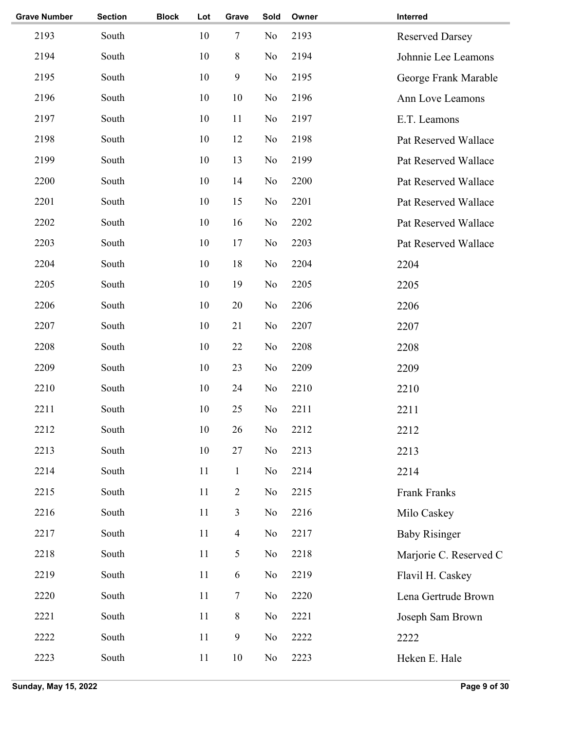| <b>Grave Number</b> | <b>Section</b> | <b>Block</b> | Lot    | Grave          | Sold           | Owner | Interred               |
|---------------------|----------------|--------------|--------|----------------|----------------|-------|------------------------|
| 2193                | South          |              | 10     | $\tau$         | N <sub>o</sub> | 2193  | <b>Reserved Darsey</b> |
| 2194                | South          |              | 10     | 8              | No             | 2194  | Johnnie Lee Leamons    |
| 2195                | South          |              | 10     | $\overline{9}$ | No             | 2195  | George Frank Marable   |
| 2196                | South          |              | 10     | 10             | No             | 2196  | Ann Love Leamons       |
| 2197                | South          |              | 10     | 11             | No             | 2197  | E.T. Leamons           |
| 2198                | South          |              | 10     | 12             | N <sub>0</sub> | 2198  | Pat Reserved Wallace   |
| 2199                | South          |              | 10     | 13             | N <sub>0</sub> | 2199  | Pat Reserved Wallace   |
| 2200                | South          |              | 10     | 14             | N <sub>o</sub> | 2200  | Pat Reserved Wallace   |
| 2201                | South          |              | 10     | 15             | N <sub>0</sub> | 2201  | Pat Reserved Wallace   |
| 2202                | South          |              | 10     | 16             | No             | 2202  | Pat Reserved Wallace   |
| 2203                | South          |              | 10     | 17             | No             | 2203  | Pat Reserved Wallace   |
| 2204                | South          |              | 10     | 18             | No             | 2204  | 2204                   |
| 2205                | South          |              | 10     | 19             | No             | 2205  | 2205                   |
| 2206                | South          |              | 10     | 20             | N <sub>0</sub> | 2206  | 2206                   |
| 2207                | South          |              | 10     | 21             | N <sub>o</sub> | 2207  | 2207                   |
| 2208                | South          |              | 10     | 22             | N <sub>0</sub> | 2208  | 2208                   |
| 2209                | South          |              | 10     | 23             | N <sub>0</sub> | 2209  | 2209                   |
| 2210                | South          |              | 10     | 24             | N <sub>0</sub> | 2210  | 2210                   |
| 2211                | South          |              | 10     | 25             | N <sub>0</sub> | 2211  | 2211                   |
| 2212                | South          |              | $10\,$ | $26\,$         | $\rm No$       | 2212  | 2212                   |
| 2213                | South          |              | 10     | 27             | No             | 2213  | 2213                   |
| 2214                | South          |              | 11     | $\mathbf{1}$   | N <sub>o</sub> | 2214  | 2214                   |
| 2215                | South          |              | 11     | $\overline{2}$ | No             | 2215  | Frank Franks           |
| 2216                | South          |              | 11     | 3              | No             | 2216  | Milo Caskey            |
| 2217                | South          |              | 11     | $\overline{4}$ | No             | 2217  | <b>Baby Risinger</b>   |
| 2218                | South          |              | 11     | 5              | No             | 2218  | Marjorie C. Reserved C |
| 2219                | South          |              | 11     | 6              | No             | 2219  | Flavil H. Caskey       |
| 2220                | South          |              | 11     | $\tau$         | No             | 2220  | Lena Gertrude Brown    |
| 2221                | South          |              | 11     | 8              | No             | 2221  | Joseph Sam Brown       |
| 2222                | South          |              | 11     | 9              | No             | 2222  | 2222                   |
| 2223                | South          |              | 11     | $10\,$         | N <sub>o</sub> | 2223  | Heken E. Hale          |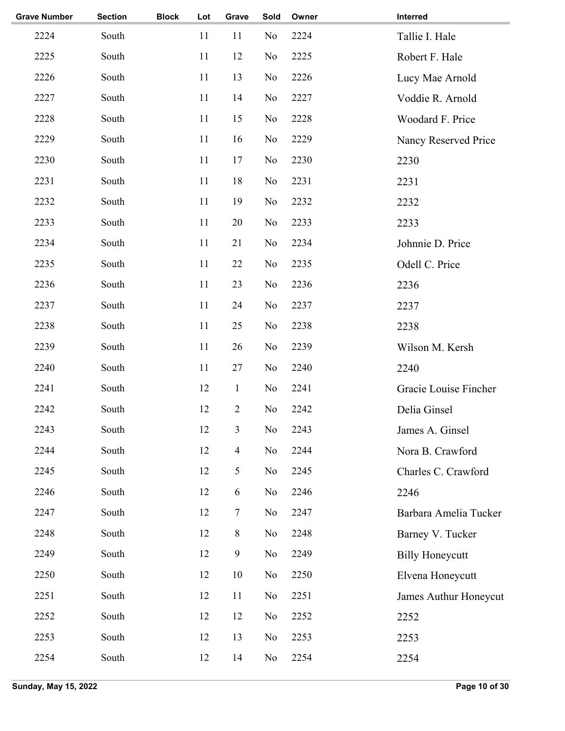| <b>Grave Number</b> | <b>Section</b> | <b>Block</b> | Lot | Grave          | Sold           | Owner | Interred               |
|---------------------|----------------|--------------|-----|----------------|----------------|-------|------------------------|
| 2224                | South          |              | 11  | 11             | No             | 2224  | Tallie I. Hale         |
| 2225                | South          |              | 11  | 12             | No             | 2225  | Robert F. Hale         |
| 2226                | South          |              | 11  | 13             | No             | 2226  | Lucy Mae Arnold        |
| 2227                | South          |              | 11  | 14             | No             | 2227  | Voddie R. Arnold       |
| 2228                | South          |              | 11  | 15             | No             | 2228  | Woodard F. Price       |
| 2229                | South          |              | 11  | 16             | No             | 2229  | Nancy Reserved Price   |
| 2230                | South          |              | 11  | 17             | No             | 2230  | 2230                   |
| 2231                | South          |              | 11  | 18             | No             | 2231  | 2231                   |
| 2232                | South          |              | 11  | 19             | No             | 2232  | 2232                   |
| 2233                | South          |              | 11  | 20             | No             | 2233  | 2233                   |
| 2234                | South          |              | 11  | 21             | N <sub>0</sub> | 2234  | Johnnie D. Price       |
| 2235                | South          |              | 11  | 22             | N <sub>0</sub> | 2235  | Odell C. Price         |
| 2236                | South          |              | 11  | 23             | No             | 2236  | 2236                   |
| 2237                | South          |              | 11  | 24             | No             | 2237  | 2237                   |
| 2238                | South          |              | 11  | 25             | No             | 2238  | 2238                   |
| 2239                | South          |              | 11  | 26             | No             | 2239  | Wilson M. Kersh        |
| 2240                | South          |              | 11  | 27             | No             | 2240  | 2240                   |
| 2241                | South          |              | 12  | $\mathbf{1}$   | No             | 2241  | Gracie Louise Fincher  |
| 2242                | South          |              | 12  | $\overline{2}$ | No             | 2242  | Delia Ginsel           |
| 2243                | South          |              | 12  | 3              | No             | 2243  | James A. Ginsel        |
| 2244                | South          |              | 12  | $\overline{4}$ | No             | 2244  | Nora B. Crawford       |
| 2245                | South          |              | 12  | 5              | No             | 2245  | Charles C. Crawford    |
| 2246                | South          |              | 12  | 6              | No             | 2246  | 2246                   |
| 2247                | South          |              | 12  | $\tau$         | No             | 2247  | Barbara Amelia Tucker  |
| 2248                | South          |              | 12  | 8              | No             | 2248  | Barney V. Tucker       |
| 2249                | South          |              | 12  | 9              | No             | 2249  | <b>Billy Honeycutt</b> |
| 2250                | South          |              | 12  | 10             | No             | 2250  | Elvena Honeycutt       |
| 2251                | South          |              | 12  | 11             | No             | 2251  | James Authur Honeycut  |
| 2252                | South          |              | 12  | 12             | No             | 2252  | 2252                   |
| 2253                | South          |              | 12  | 13             | No             | 2253  | 2253                   |
| 2254                | South          |              | 12  | 14             | N <sub>0</sub> | 2254  | 2254                   |
|                     |                |              |     |                |                |       |                        |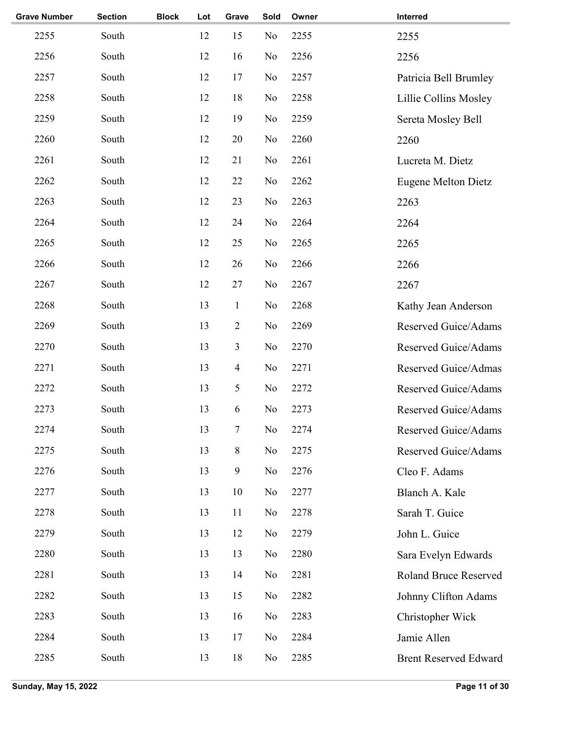| <b>Grave Number</b> | <b>Section</b> | <b>Block</b> | Lot | Grave            | Sold           | Owner | Interred                     |
|---------------------|----------------|--------------|-----|------------------|----------------|-------|------------------------------|
| 2255                | South          |              | 12  | 15               | No             | 2255  | 2255                         |
| 2256                | South          |              | 12  | 16               | No             | 2256  | 2256                         |
| 2257                | South          |              | 12  | 17               | No             | 2257  | Patricia Bell Brumley        |
| 2258                | South          |              | 12  | 18               | No             | 2258  | Lillie Collins Mosley        |
| 2259                | South          |              | 12  | 19               | No             | 2259  | Sereta Mosley Bell           |
| 2260                | South          |              | 12  | 20               | No             | 2260  | 2260                         |
| 2261                | South          |              | 12  | 21               | No             | 2261  | Lucreta M. Dietz             |
| 2262                | South          |              | 12  | 22               | No             | 2262  | <b>Eugene Melton Dietz</b>   |
| 2263                | South          |              | 12  | 23               | No             | 2263  | 2263                         |
| 2264                | South          |              | 12  | 24               | No             | 2264  | 2264                         |
| 2265                | South          |              | 12  | 25               | N <sub>0</sub> | 2265  | 2265                         |
| 2266                | South          |              | 12  | 26               | No             | 2266  | 2266                         |
| 2267                | South          |              | 12  | 27               | No             | 2267  | 2267                         |
| 2268                | South          |              | 13  | $\mathbf{1}$     | No             | 2268  | Kathy Jean Anderson          |
| 2269                | South          |              | 13  | $\overline{2}$   | No             | 2269  | <b>Reserved Guice/Adams</b>  |
| 2270                | South          |              | 13  | $\mathfrak{Z}$   | No             | 2270  | Reserved Guice/Adams         |
| 2271                | South          |              | 13  | $\overline{4}$   | No             | 2271  | Reserved Guice/Admas         |
| 2272                | South          |              | 13  | 5                | No             | 2272  | Reserved Guice/Adams         |
| 2273                | South          |              | 13  | $\sqrt{6}$       | No             | 2273  | Reserved Guice/Adams         |
| 2274                | South          |              | 13  | $\boldsymbol{7}$ | No             | 2274  | Reserved Guice/Adams         |
| 2275                | South          |              | 13  | $\,8\,$          | No             | 2275  | Reserved Guice/Adams         |
| 2276                | South          |              | 13  | $\mathbf{9}$     | No             | 2276  | Cleo F. Adams                |
| 2277                | South          |              | 13  | 10               | N <sub>0</sub> | 2277  | Blanch A. Kale               |
| 2278                | South          |              | 13  | 11               | N <sub>0</sub> | 2278  | Sarah T. Guice               |
| 2279                | South          |              | 13  | 12               | No             | 2279  | John L. Guice                |
| 2280                | South          |              | 13  | 13               | No             | 2280  | Sara Evelyn Edwards          |
| 2281                | South          |              | 13  | 14               | N <sub>0</sub> | 2281  | <b>Roland Bruce Reserved</b> |
| 2282                | South          |              | 13  | 15               | No             | 2282  | Johnny Clifton Adams         |
| 2283                | South          |              | 13  | 16               | No             | 2283  | Christopher Wick             |
| 2284                | South          |              | 13  | 17               | No             | 2284  | Jamie Allen                  |
| 2285                | South          |              | 13  | 18               | N <sub>0</sub> | 2285  | <b>Brent Reserved Edward</b> |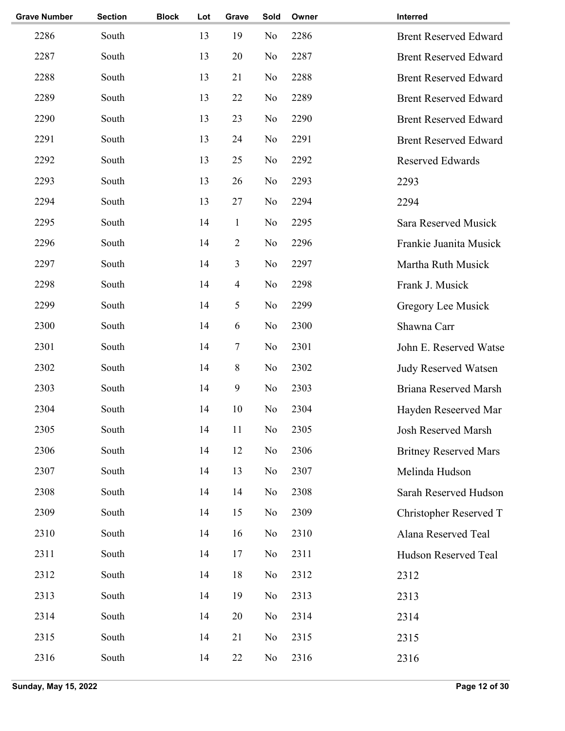| <b>Grave Number</b> | <b>Section</b> | <b>Block</b> | Lot | <b>Grave</b>             | Sold           | Owner | Interred                     |
|---------------------|----------------|--------------|-----|--------------------------|----------------|-------|------------------------------|
| 2286                | South          |              | 13  | 19                       | No             | 2286  | <b>Brent Reserved Edward</b> |
| 2287                | South          |              | 13  | 20                       | N <sub>0</sub> | 2287  | <b>Brent Reserved Edward</b> |
| 2288                | South          |              | 13  | 21                       | No             | 2288  | <b>Brent Reserved Edward</b> |
| 2289                | South          |              | 13  | 22                       | No             | 2289  | <b>Brent Reserved Edward</b> |
| 2290                | South          |              | 13  | 23                       | N <sub>0</sub> | 2290  | <b>Brent Reserved Edward</b> |
| 2291                | South          |              | 13  | 24                       | N <sub>0</sub> | 2291  | <b>Brent Reserved Edward</b> |
| 2292                | South          |              | 13  | 25                       | N <sub>0</sub> | 2292  | <b>Reserved Edwards</b>      |
| 2293                | South          |              | 13  | 26                       | N <sub>0</sub> | 2293  | 2293                         |
| 2294                | South          |              | 13  | 27                       | N <sub>0</sub> | 2294  | 2294                         |
| 2295                | South          |              | 14  | $\mathbf{1}$             | No             | 2295  | Sara Reserved Musick         |
| 2296                | South          |              | 14  | $\overline{2}$           | No             | 2296  | Frankie Juanita Musick       |
| 2297                | South          |              | 14  | $\mathfrak{Z}$           | No             | 2297  | Martha Ruth Musick           |
| 2298                | South          |              | 14  | $\overline{\mathcal{A}}$ | No             | 2298  | Frank J. Musick              |
| 2299                | South          |              | 14  | 5                        | No             | 2299  | Gregory Lee Musick           |
| 2300                | South          |              | 14  | 6                        | No             | 2300  | Shawna Carr                  |
| 2301                | South          |              | 14  | $\tau$                   | No             | 2301  | John E. Reserved Watse       |
| 2302                | South          |              | 14  | 8                        | No             | 2302  | <b>Judy Reserved Watsen</b>  |
| 2303                | South          |              | 14  | $\mathbf{9}$             | N <sub>o</sub> | 2303  | <b>Briana Reserved Marsh</b> |
| 2304                | South          |              | 14  | 10                       | No             | 2304  | Hayden Reseerved Mar         |
| 2305                | South          |              | 14  | 11                       | No             | 2305  | Josh Reserved Marsh          |
| 2306                | South          |              | 14  | 12                       | N <sub>o</sub> | 2306  | <b>Britney Reserved Mars</b> |
| 2307                | South          |              | 14  | 13                       | No             | 2307  | Melinda Hudson               |
| 2308                | South          |              | 14  | 14                       | No             | 2308  | Sarah Reserved Hudson        |
| 2309                | South          |              | 14  | 15                       | No             | 2309  | Christopher Reserved T       |
| 2310                | South          |              | 14  | 16                       | No             | 2310  | Alana Reserved Teal          |
| 2311                | South          |              | 14  | 17                       | N <sub>0</sub> | 2311  | Hudson Reserved Teal         |
| 2312                | South          |              | 14  | 18                       | N <sub>0</sub> | 2312  | 2312                         |
| 2313                | South          |              | 14  | 19                       | No             | 2313  | 2313                         |
| 2314                | South          |              | 14  | 20                       | No             | 2314  | 2314                         |
| 2315                | South          |              | 14  | 21                       | No             | 2315  | 2315                         |
| 2316                | South          |              | 14  | 22                       | N <sub>0</sub> | 2316  | 2316                         |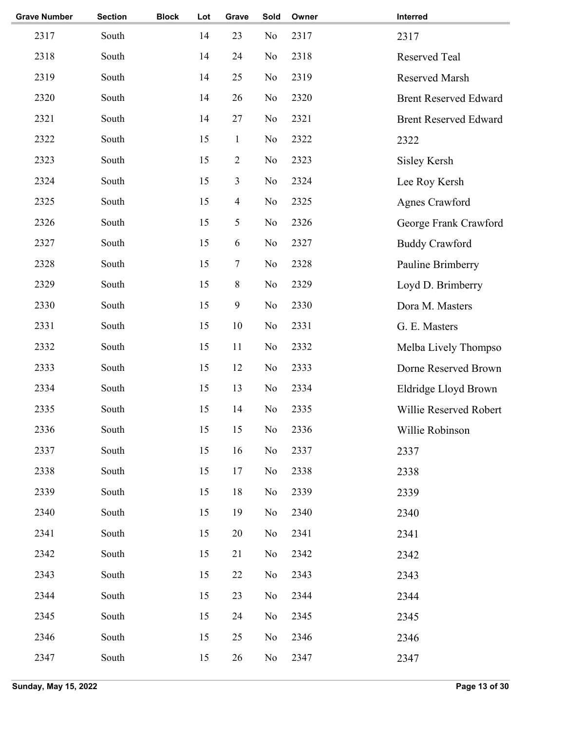| <b>Grave Number</b> | <b>Section</b> | <b>Block</b> | Lot | Grave          | Sold           | Owner | Interred                     |
|---------------------|----------------|--------------|-----|----------------|----------------|-------|------------------------------|
| 2317                | South          |              | 14  | 23             | No             | 2317  | 2317                         |
| 2318                | South          |              | 14  | 24             | No             | 2318  | <b>Reserved Teal</b>         |
| 2319                | South          |              | 14  | 25             | No             | 2319  | <b>Reserved Marsh</b>        |
| 2320                | South          |              | 14  | 26             | N <sub>0</sub> | 2320  | <b>Brent Reserved Edward</b> |
| 2321                | South          |              | 14  | 27             | No             | 2321  | <b>Brent Reserved Edward</b> |
| 2322                | South          |              | 15  | $\mathbf{1}$   | No             | 2322  | 2322                         |
| 2323                | South          |              | 15  | $\overline{2}$ | No             | 2323  | Sisley Kersh                 |
| 2324                | South          |              | 15  | $\overline{3}$ | No             | 2324  | Lee Roy Kersh                |
| 2325                | South          |              | 15  | $\overline{4}$ | No             | 2325  | <b>Agnes Crawford</b>        |
| 2326                | South          |              | 15  | 5              | No             | 2326  | George Frank Crawford        |
| 2327                | South          |              | 15  | 6              | No             | 2327  | <b>Buddy Crawford</b>        |
| 2328                | South          |              | 15  | $\tau$         | No             | 2328  | Pauline Brimberry            |
| 2329                | South          |              | 15  | $8\,$          | No             | 2329  | Loyd D. Brimberry            |
| 2330                | South          |              | 15  | 9              | No             | 2330  | Dora M. Masters              |
| 2331                | South          |              | 15  | 10             | No             | 2331  | G. E. Masters                |
| 2332                | South          |              | 15  | 11             | No             | 2332  | Melba Lively Thompso         |
| 2333                | South          |              | 15  | 12             | No             | 2333  | Dorne Reserved Brown         |
| 2334                | South          |              | 15  | 13             | No             | 2334  | Eldridge Lloyd Brown         |
| 2335                | South          |              | 15  | 14             | No             | 2335  | Willie Reserved Robert       |
| 2336                | South          |              | 15  | 15             | No             | 2336  | Willie Robinson              |
| 2337                | South          |              | 15  | 16             | N <sub>0</sub> | 2337  | 2337                         |
| 2338                | South          |              | 15  | 17             | No             | 2338  | 2338                         |
| 2339                | South          |              | 15  | 18             | No             | 2339  | 2339                         |
| 2340                | South          |              | 15  | 19             | No             | 2340  | 2340                         |
| 2341                | South          |              | 15  | 20             | N <sub>0</sub> | 2341  | 2341                         |
| 2342                | South          |              | 15  | 21             | N <sub>0</sub> | 2342  | 2342                         |
| 2343                | South          |              | 15  | 22             | N <sub>0</sub> | 2343  | 2343                         |
| 2344                | South          |              | 15  | 23             | No             | 2344  | 2344                         |
| 2345                | South          |              | 15  | 24             | No             | 2345  | 2345                         |
| 2346                | South          |              | 15  | 25             | N <sub>0</sub> | 2346  | 2346                         |
| 2347                | South          |              | 15  | 26             | N <sub>0</sub> | 2347  | 2347                         |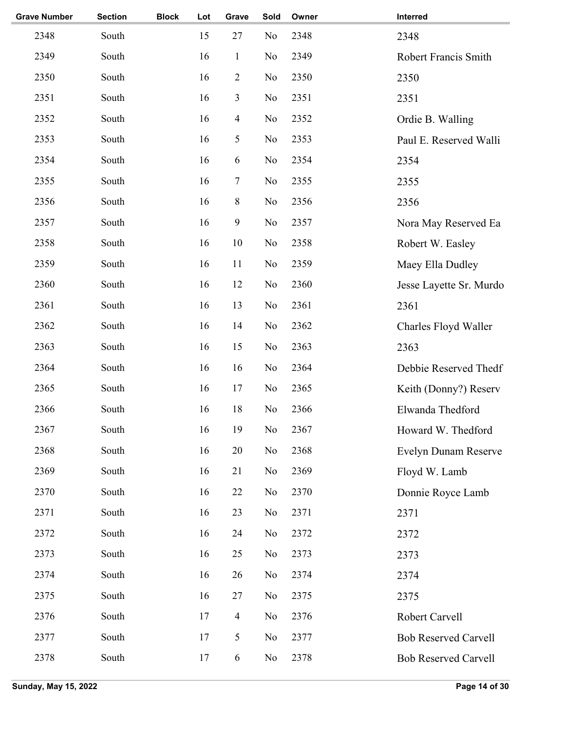| <b>Grave Number</b> | <b>Section</b> | <b>Block</b> | Lot | Grave          | Sold           | Owner | Interred                    |
|---------------------|----------------|--------------|-----|----------------|----------------|-------|-----------------------------|
| 2348                | South          |              | 15  | 27             | No             | 2348  | 2348                        |
| 2349                | South          |              | 16  | $\mathbf{1}$   | N <sub>0</sub> | 2349  | <b>Robert Francis Smith</b> |
| 2350                | South          |              | 16  | $\overline{2}$ | No             | 2350  | 2350                        |
| 2351                | South          |              | 16  | 3              | N <sub>0</sub> | 2351  | 2351                        |
| 2352                | South          |              | 16  | $\overline{4}$ | No             | 2352  | Ordie B. Walling            |
| 2353                | South          |              | 16  | 5              | No             | 2353  | Paul E. Reserved Walli      |
| 2354                | South          |              | 16  | 6              | No             | 2354  | 2354                        |
| 2355                | South          |              | 16  | 7              | No             | 2355  | 2355                        |
| 2356                | South          |              | 16  | 8              | No             | 2356  | 2356                        |
| 2357                | South          |              | 16  | 9              | No             | 2357  | Nora May Reserved Ea        |
| 2358                | South          |              | 16  | 10             | No             | 2358  | Robert W. Easley            |
| 2359                | South          |              | 16  | 11             | No             | 2359  | Maey Ella Dudley            |
| 2360                | South          |              | 16  | 12             | No             | 2360  | Jesse Layette Sr. Murdo     |
| 2361                | South          |              | 16  | 13             | No             | 2361  | 2361                        |
| 2362                | South          |              | 16  | 14             | No             | 2362  | Charles Floyd Waller        |
| 2363                | South          |              | 16  | 15             | No             | 2363  | 2363                        |
| 2364                | South          |              | 16  | 16             | No             | 2364  | Debbie Reserved Thedf       |
| 2365                | South          |              | 16  | 17             | No             | 2365  | Keith (Donny?) Reserv       |
| 2366                | South          |              | 16  | 18             | N <sub>o</sub> | 2366  | Elwanda Thedford            |
| 2367                | South          |              | 16  | 19             | $\rm No$       | 2367  | Howard W. Thedford          |
| 2368                | South          |              | 16  | 20             | No             | 2368  | Evelyn Dunam Reserve        |
| 2369                | South          |              | 16  | 21             | No             | 2369  | Floyd W. Lamb               |
| 2370                | South          |              | 16  | 22             | N <sub>0</sub> | 2370  | Donnie Royce Lamb           |
| 2371                | South          |              | 16  | 23             | N <sub>0</sub> | 2371  | 2371                        |
| 2372                | South          |              | 16  | 24             | N <sub>0</sub> | 2372  | 2372                        |
| 2373                | South          |              | 16  | 25             | No             | 2373  | 2373                        |
| 2374                | South          |              | 16  | 26             | N <sub>0</sub> | 2374  | 2374                        |
| 2375                | South          |              | 16  | 27             | N <sub>0</sub> | 2375  | 2375                        |
| 2376                | South          |              | 17  | 4              | N <sub>0</sub> | 2376  | Robert Carvell              |
| 2377                | South          |              | 17  | 5              | No             | 2377  | <b>Bob Reserved Carvell</b> |
| 2378                | South          |              | 17  | 6              | N <sub>0</sub> | 2378  | <b>Bob Reserved Carvell</b> |
|                     |                |              |     |                |                |       |                             |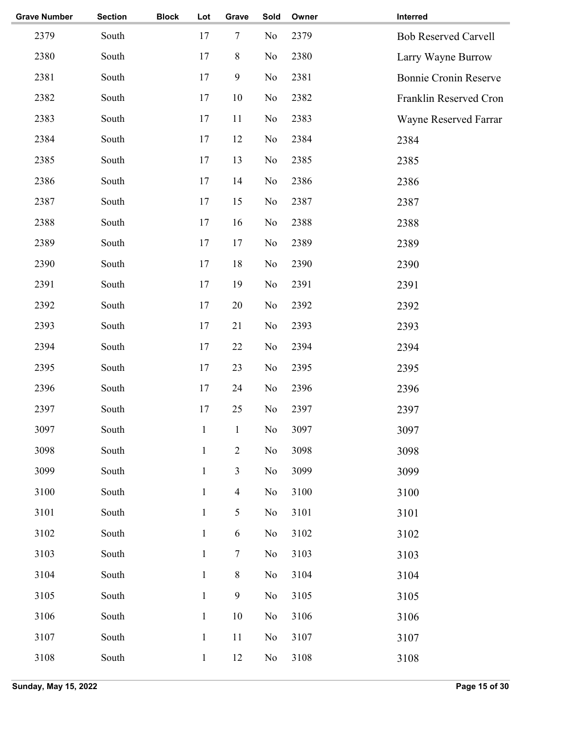| <b>Section</b> | <b>Block</b> | Lot          | Grave            | Sold           | Owner | Interred                     |
|----------------|--------------|--------------|------------------|----------------|-------|------------------------------|
| South          |              | 17           | $\tau$           | No             | 2379  | <b>Bob Reserved Carvell</b>  |
| South          |              | 17           | $\,8\,$          | No             | 2380  | Larry Wayne Burrow           |
| South          |              | 17           | $\boldsymbol{9}$ | No             | 2381  | <b>Bonnie Cronin Reserve</b> |
| South          |              | 17           | 10               | No             | 2382  | Franklin Reserved Cron       |
| South          |              | 17           | 11               | No             | 2383  | Wayne Reserved Farrar        |
| South          |              | 17           | 12               | No             | 2384  | 2384                         |
| South          |              | 17           | 13               | No             | 2385  | 2385                         |
| South          |              | 17           | 14               | No             | 2386  | 2386                         |
| South          |              | 17           | 15               | No             | 2387  | 2387                         |
| South          |              | 17           | 16               | No             | 2388  | 2388                         |
| South          |              | 17           | 17               | No             | 2389  | 2389                         |
| South          |              | 17           | 18               | No             | 2390  | 2390                         |
| South          |              | 17           | 19               | No             | 2391  | 2391                         |
| South          |              | 17           | 20               | No             | 2392  | 2392                         |
| South          |              | 17           | 21               | No             | 2393  | 2393                         |
| South          |              | 17           | 22               | No             | 2394  | 2394                         |
| South          |              | 17           | 23               | No             | 2395  | 2395                         |
| South          |              | 17           | 24               | No             | 2396  | 2396                         |
| South          |              | 17           | 25               | No             | 2397  | 2397                         |
| South          |              | $\mathbf{1}$ | $\mathbf{1}$     | No             | 3097  | 3097                         |
| South          |              | $\mathbf{1}$ | $\mathbf{2}$     | No             | 3098  | 3098                         |
| South          |              | $\mathbf{1}$ | $\mathfrak{Z}$   | N <sub>0</sub> | 3099  | 3099                         |
| South          |              | $\mathbf{1}$ | $\overline{4}$   | N <sub>0</sub> | 3100  | 3100                         |
| South          |              | $\mathbf{1}$ | 5                | N <sub>0</sub> | 3101  | 3101                         |
| South          |              | $\mathbf{1}$ | 6                | No             | 3102  | 3102                         |
| South          |              | $\mathbf{1}$ | $\tau$           | No             | 3103  | 3103                         |
| South          |              | $\mathbf{1}$ | $\,8\,$          | N <sub>0</sub> | 3104  | 3104                         |
| South          |              | $\mathbf{1}$ | 9                | No             | 3105  | 3105                         |
| South          |              | $\mathbf{1}$ | 10               | No             | 3106  | 3106                         |
| South          |              | $\mathbf{1}$ | 11               | No             | 3107  | 3107                         |
| South          |              | $\mathbf{1}$ | 12               | No             | 3108  | 3108                         |
|                |              |              |                  |                |       |                              |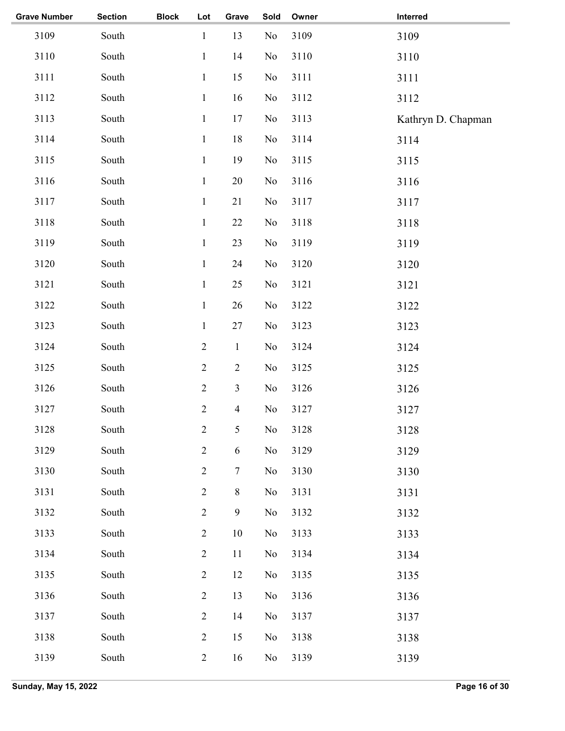| <b>Section</b> | <b>Block</b> | Lot            | Grave          | Sold           | Owner | Interred           |
|----------------|--------------|----------------|----------------|----------------|-------|--------------------|
| South          |              | $\mathbf{1}$   | 13             | $\rm No$       | 3109  | 3109               |
| South          |              | $\mathbf{1}$   | 14             | No             | 3110  | 3110               |
| South          |              | $\mathbf{1}$   | 15             | No             | 3111  | 3111               |
| South          |              | $\mathbf{1}$   | 16             | No             | 3112  | 3112               |
| South          |              | $\mathbf{1}$   | 17             | No             | 3113  | Kathryn D. Chapman |
| South          |              | $\mathbf{1}$   | 18             | No             | 3114  | 3114               |
| South          |              | $\mathbf{1}$   | 19             | No             | 3115  | 3115               |
| South          |              | $\mathbf{1}$   | 20             | No             | 3116  | 3116               |
| South          |              | $\mathbf{1}$   | 21             | No             | 3117  | 3117               |
| South          |              | $\mathbf{1}$   | $22\,$         | No             | 3118  | 3118               |
| South          |              | $\mathbf{1}$   | 23             | No             | 3119  | 3119               |
| South          |              | $\mathbf{1}$   | 24             | No             | 3120  | 3120               |
| South          |              | $\mathbf{1}$   | 25             | No             | 3121  | 3121               |
| South          |              | $\mathbf{1}$   | 26             | No             | 3122  | 3122               |
| South          |              | $\mathbf{1}$   | $27\,$         | No             | 3123  | 3123               |
| South          |              | $\overline{2}$ | $\mathbf{1}$   | No             | 3124  | 3124               |
| South          |              | $\overline{2}$ | $\overline{2}$ | No             | 3125  | 3125               |
| South          |              | $\overline{2}$ | $\mathfrak{Z}$ | No             | 3126  | 3126               |
| South          |              | $\overline{2}$ | $\overline{4}$ | No             | 3127  | 3127               |
| South          |              | $\overline{2}$ | 5              | No             | 3128  | 3128               |
| South          |              | $\overline{2}$ | 6              | No             | 3129  | 3129               |
| South          |              | $\overline{2}$ | $\tau$         | N <sub>0</sub> | 3130  | 3130               |
| South          |              | $\overline{2}$ | $8\,$          | No             | 3131  | 3131               |
| South          |              | $\overline{2}$ | 9              | No             | 3132  | 3132               |
| South          |              | $\mathbf{2}$   | $10\,$         | No             | 3133  | 3133               |
| South          |              | $\overline{2}$ | 11             | No             | 3134  | 3134               |
| South          |              | $\mathbf{2}$   | 12             | No             | 3135  | 3135               |
| South          |              | $\overline{2}$ | 13             | No             | 3136  | 3136               |
| South          |              | $\mathbf{2}$   | 14             | N <sub>0</sub> | 3137  | 3137               |
| South          |              | $\overline{2}$ | 15             | N <sub>0</sub> | 3138  | 3138               |
| South          |              | $\overline{2}$ | 16             | No             | 3139  | 3139               |
|                |              |                |                |                |       |                    |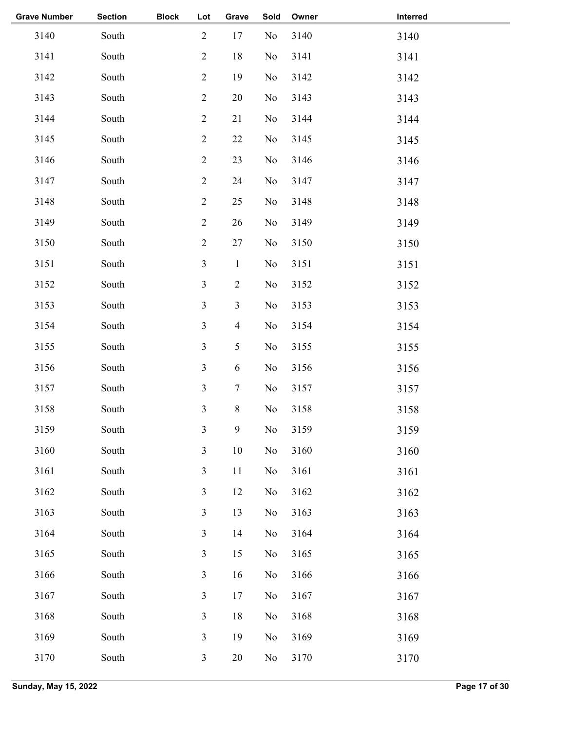| <b>Grave Number</b> | <b>Section</b> | <b>Block</b> | Lot            | Grave          | Sold           | Owner | Interred |
|---------------------|----------------|--------------|----------------|----------------|----------------|-------|----------|
| 3140                | South          |              | $\overline{2}$ | 17             | No             | 3140  | 3140     |
| 3141                | South          |              | $\overline{2}$ | 18             | No             | 3141  | 3141     |
| 3142                | South          |              | $\overline{2}$ | 19             | No             | 3142  | 3142     |
| 3143                | South          |              | $\mathbf{2}$   | 20             | No             | 3143  | 3143     |
| 3144                | South          |              | $\mathbf{2}$   | 21             | No             | 3144  | 3144     |
| 3145                | South          |              | $\mathbf{2}$   | 22             | No             | 3145  | 3145     |
| 3146                | South          |              | $\overline{2}$ | 23             | No             | 3146  | 3146     |
| 3147                | South          |              | $\overline{2}$ | 24             | No             | 3147  | 3147     |
| 3148                | South          |              | $\overline{2}$ | 25             | No             | 3148  | 3148     |
| 3149                | South          |              | $\mathbf{2}$   | 26             | No             | 3149  | 3149     |
| 3150                | South          |              | $\overline{2}$ | 27             | No             | 3150  | 3150     |
| 3151                | South          |              | 3              | $\mathbf{1}$   | No             | 3151  | 3151     |
| 3152                | South          |              | 3              | $\overline{2}$ | No             | 3152  | 3152     |
| 3153                | South          |              | 3              | $\mathfrak{Z}$ | N <sub>0</sub> | 3153  | 3153     |
| 3154                | South          |              | 3              | $\overline{4}$ | N <sub>0</sub> | 3154  | 3154     |
| 3155                | South          |              | 3              | $\mathfrak{S}$ | N <sub>0</sub> | 3155  | 3155     |
| 3156                | South          |              | 3              | 6              | No             | 3156  | 3156     |
| 3157                | South          |              | 3              | $\tau$         | No             | 3157  | 3157     |
| 3158                | South          |              | 3              | $8\,$          | N <sub>0</sub> | 3158  | 3158     |
| 3159                | South          |              | 3              | 9              | No             | 3159  | 3159     |
| 3160                | South          |              | 3              | 10             | No             | 3160  | 3160     |
| 3161                | South          |              | 3              | 11             | No             | 3161  | 3161     |
| 3162                | South          |              | $\mathfrak{Z}$ | 12             | No             | 3162  | 3162     |
| 3163                | South          |              | 3              | 13             | No             | 3163  | 3163     |
| 3164                | South          |              | 3              | 14             | No             | 3164  | 3164     |
| 3165                | South          |              | $\mathfrak{Z}$ | 15             | No             | 3165  | 3165     |
| 3166                | South          |              | $\mathfrak{Z}$ | 16             | No             | 3166  | 3166     |
| 3167                | South          |              | 3              | 17             | N <sub>0</sub> | 3167  | 3167     |
| 3168                | South          |              | 3              | 18             | No             | 3168  | 3168     |
| 3169                | South          |              | 3              | 19             | No             | 3169  | 3169     |
| 3170                | South          |              | $\mathfrak{Z}$ | 20             | No             | 3170  | 3170     |
|                     |                |              |                |                |                |       |          |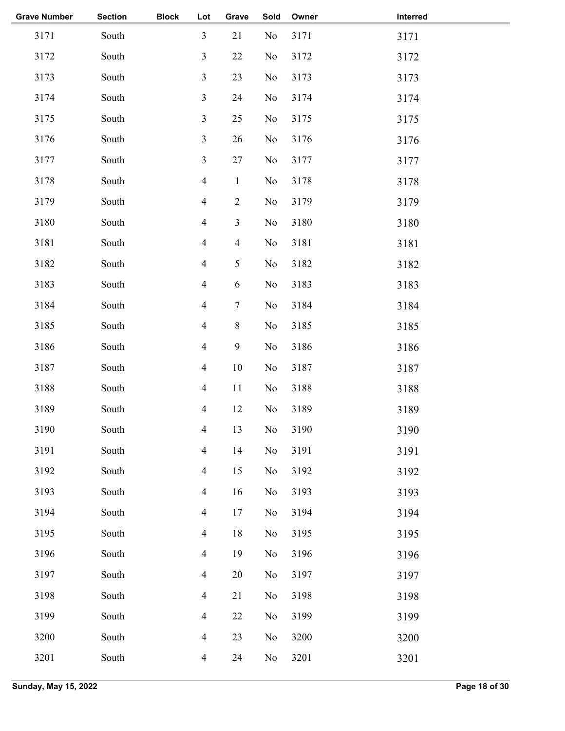| <b>Grave Number</b> | <b>Section</b> | <b>Block</b> | Lot                      | Grave          | Sold           | Owner | Interred |
|---------------------|----------------|--------------|--------------------------|----------------|----------------|-------|----------|
| 3171                | South          |              | $\mathfrak{Z}$           | 21             | No             | 3171  | 3171     |
| 3172                | South          |              | 3                        | 22             | No             | 3172  | 3172     |
| 3173                | South          |              | $\overline{3}$           | 23             | No             | 3173  | 3173     |
| 3174                | South          |              | $\overline{3}$           | 24             | No             | 3174  | 3174     |
| 3175                | South          |              | $\mathfrak{Z}$           | 25             | No             | 3175  | 3175     |
| 3176                | South          |              | $\overline{3}$           | 26             | No             | 3176  | 3176     |
| 3177                | South          |              | $\mathfrak{Z}$           | 27             | No             | 3177  | 3177     |
| 3178                | South          |              | $\overline{4}$           | $\mathbf{1}$   | No             | 3178  | 3178     |
| 3179                | South          |              | $\overline{4}$           | $\overline{2}$ | No             | 3179  | 3179     |
| 3180                | South          |              | $\overline{4}$           | $\overline{3}$ | N <sub>0</sub> | 3180  | 3180     |
| 3181                | South          |              | $\overline{4}$           | $\overline{4}$ | N <sub>0</sub> | 3181  | 3181     |
| 3182                | South          |              | $\overline{4}$           | 5              | No             | 3182  | 3182     |
| 3183                | South          |              | $\overline{4}$           | 6              | N <sub>0</sub> | 3183  | 3183     |
| 3184                | South          |              | $\overline{4}$           | $\tau$         | N <sub>0</sub> | 3184  | 3184     |
| 3185                | South          |              | $\overline{4}$           | $8\,$          | N <sub>0</sub> | 3185  | 3185     |
| 3186                | South          |              | $\overline{4}$           | 9              | No             | 3186  | 3186     |
| 3187                | South          |              | $\overline{4}$           | 10             | No             | 3187  | 3187     |
| 3188                | South          |              | $\overline{4}$           | 11             | No             | 3188  | 3188     |
| 3189                | South          |              | $\overline{4}$           | 12             | No             | 3189  | 3189     |
| 3190                | South          |              | $\overline{\mathcal{A}}$ | 13             | No             | 3190  | 3190     |
| 3191                | South          |              | $\overline{4}$           | 14             | No             | 3191  | 3191     |
| 3192                | South          |              | $\overline{4}$           | 15             | No             | 3192  | 3192     |
| 3193                | South          |              | $\overline{4}$           | 16             | No             | 3193  | 3193     |
| 3194                | South          |              | $\overline{4}$           | 17             | No             | 3194  | 3194     |
| 3195                | South          |              | $\overline{4}$           | 18             | No             | 3195  | 3195     |
| 3196                | South          |              | $\overline{4}$           | 19             | No             | 3196  | 3196     |
| 3197                | South          |              | $\overline{4}$           | 20             | No             | 3197  | 3197     |
| 3198                | South          |              | $\overline{4}$           | 21             | No             | 3198  | 3198     |
| 3199                | South          |              | $\overline{4}$           | 22             | No             | 3199  | 3199     |
| 3200                | South          |              | $\overline{4}$           | 23             | No             | 3200  | 3200     |
| 3201                | South          |              | $\overline{4}$           | 24             | No             | 3201  | 3201     |
|                     |                |              |                          |                |                |       |          |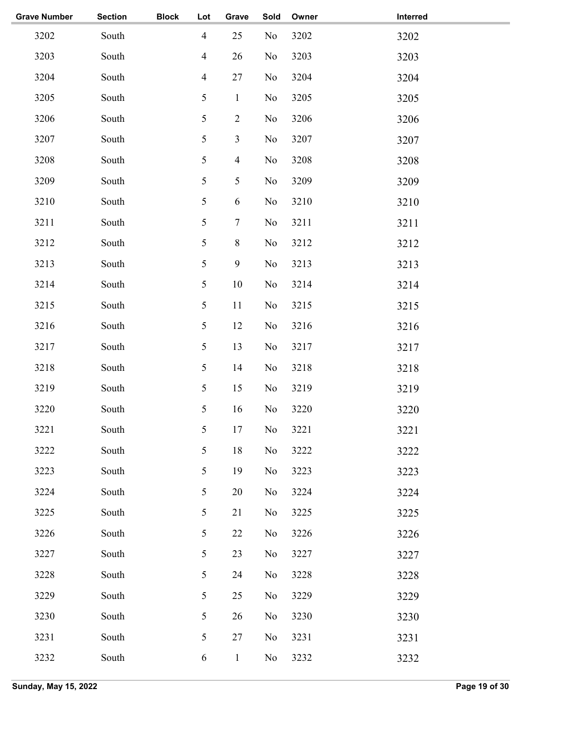| <b>Grave Number</b> | <b>Section</b> | <b>Block</b> | Lot            | Grave          | Sold           | Owner | Interred |
|---------------------|----------------|--------------|----------------|----------------|----------------|-------|----------|
| 3202                | South          |              | $\overline{4}$ | 25             | No             | 3202  | 3202     |
| 3203                | South          |              | $\overline{4}$ | 26             | No             | 3203  | 3203     |
| 3204                | South          |              | $\overline{4}$ | 27             | No             | 3204  | 3204     |
| 3205                | South          |              | 5              | $\mathbf{1}$   | N <sub>0</sub> | 3205  | 3205     |
| 3206                | South          |              | 5              | $\overline{2}$ | N <sub>0</sub> | 3206  | 3206     |
| 3207                | South          |              | 5              | $\mathfrak{Z}$ | N <sub>0</sub> | 3207  | 3207     |
| 3208                | South          |              | 5              | $\overline{4}$ | N <sub>0</sub> | 3208  | 3208     |
| 3209                | South          |              | 5              | 5              | N <sub>0</sub> | 3209  | 3209     |
| 3210                | South          |              | 5              | 6              | N <sub>o</sub> | 3210  | 3210     |
| 3211                | South          |              | 5              | $\tau$         | No             | 3211  | 3211     |
| 3212                | South          |              | 5              | $8\,$          | N <sub>0</sub> | 3212  | 3212     |
| 3213                | South          |              | 5              | 9              | No             | 3213  | 3213     |
| 3214                | South          |              | 5              | 10             | No             | 3214  | 3214     |
| 3215                | South          |              | 5              | 11             | No             | 3215  | 3215     |
| 3216                | South          |              | 5              | 12             | No             | 3216  | 3216     |
| 3217                | South          |              | 5              | 13             | No             | 3217  | 3217     |
| 3218                | South          |              | 5              | 14             | No             | 3218  | 3218     |
| 3219                | South          |              | 5              | 15             | No             | 3219  | 3219     |
| 3220                | South          |              | $\mathfrak{S}$ | 16             | No             | 3220  | 3220     |
| 3221                | South          |              | 5              | 17             | No             | 3221  | 3221     |
| 3222                | South          |              | 5              | 18             | No             | 3222  | 3222     |
| 3223                | South          |              | 5              | 19             | No             | 3223  | 3223     |
| 3224                | South          |              | 5              | 20             | No             | 3224  | 3224     |
| 3225                | South          |              | 5              | 21             | No             | 3225  | 3225     |
| 3226                | South          |              | 5              | 22             | No             | 3226  | 3226     |
| 3227                | South          |              | 5              | 23             | No             | 3227  | 3227     |
| 3228                | South          |              | 5              | 24             | No             | 3228  | 3228     |
| 3229                | South          |              | 5              | 25             | No             | 3229  | 3229     |
| 3230                | South          |              | 5              | 26             | No             | 3230  | 3230     |
| 3231                | South          |              | 5              | 27             | No             | 3231  | 3231     |
| 3232                | South          |              | 6              | $\mathbf{1}$   | No             | 3232  | 3232     |
|                     |                |              |                |                |                |       |          |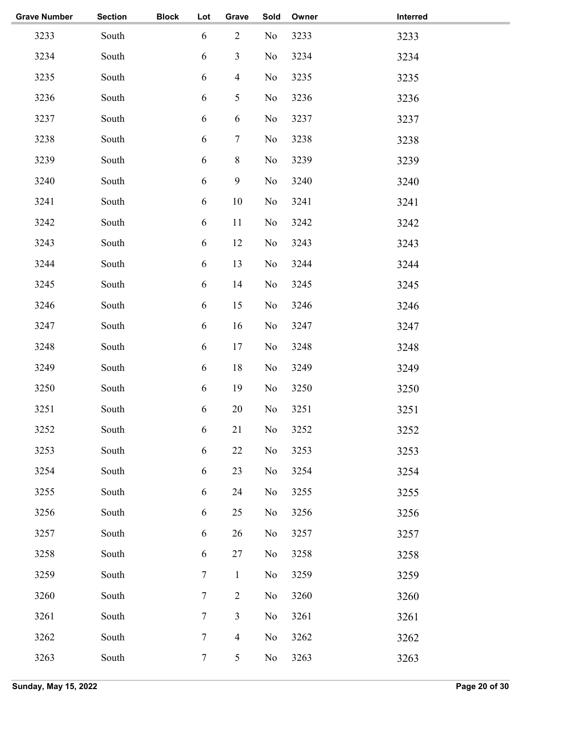| <b>Section</b> | <b>Block</b> | Lot        | Grave            | Sold | Owner | Interred |
|----------------|--------------|------------|------------------|------|-------|----------|
| South          |              | $\sqrt{6}$ | $\overline{2}$   | No   | 3233  | 3233     |
| South          |              | $\sqrt{6}$ | $\mathfrak{Z}$   | No   | 3234  | 3234     |
| South          |              | 6          | $\overline{4}$   | No   | 3235  | 3235     |
| South          |              | 6          | 5                | No   | 3236  | 3236     |
| South          |              | 6          | 6                | No   | 3237  | 3237     |
| South          |              | 6          | $\tau$           | No   | 3238  | 3238     |
| South          |              | 6          | $8\,$            | No   | 3239  | 3239     |
| South          |              | 6          | $\boldsymbol{9}$ | No   | 3240  | 3240     |
| South          |              | 6          | 10               | No   | 3241  | 3241     |
| South          |              | 6          | 11               | No   | 3242  | 3242     |
| South          |              | $\sqrt{6}$ | 12               | No   | 3243  | 3243     |
| South          |              | 6          | 13               | No   | 3244  | 3244     |
| South          |              | 6          | 14               | No   | 3245  | 3245     |
| South          |              | 6          | 15               | No   | 3246  | 3246     |
| South          |              | 6          | 16               | No   | 3247  | 3247     |
| South          |              | 6          | 17               | No   | 3248  | 3248     |
| South          |              | 6          | 18               | No   | 3249  | 3249     |
| South          |              | 6          | 19               | No   | 3250  | 3250     |
| South          |              | 6          | 20               | No   | 3251  | 3251     |
| South          |              | 6          | 21               | No   | 3252  | 3252     |
| South          |              | $\sqrt{6}$ | 22               | No   | 3253  | 3253     |
| South          |              | 6          | 23               | No   | 3254  | 3254     |
| South          |              | 6          | 24               | No   | 3255  | 3255     |
| South          |              | 6          | 25               | No   | 3256  | 3256     |
| South          |              | 6          | 26               | No   | 3257  | 3257     |
| South          |              | $\sqrt{6}$ | 27               | No   | 3258  | 3258     |
| South          |              | $\tau$     | $\mathbf{1}$     | No   | 3259  | 3259     |
| South          |              | $\tau$     | $\overline{2}$   | No   | 3260  | 3260     |
| South          |              | 7          | $\mathfrak{Z}$   | No   | 3261  | 3261     |
| South          |              | $\tau$     | $\overline{4}$   | No   | 3262  | 3262     |
| South          |              | $\tau$     | 5                | No   | 3263  | 3263     |
|                |              |            |                  |      |       |          |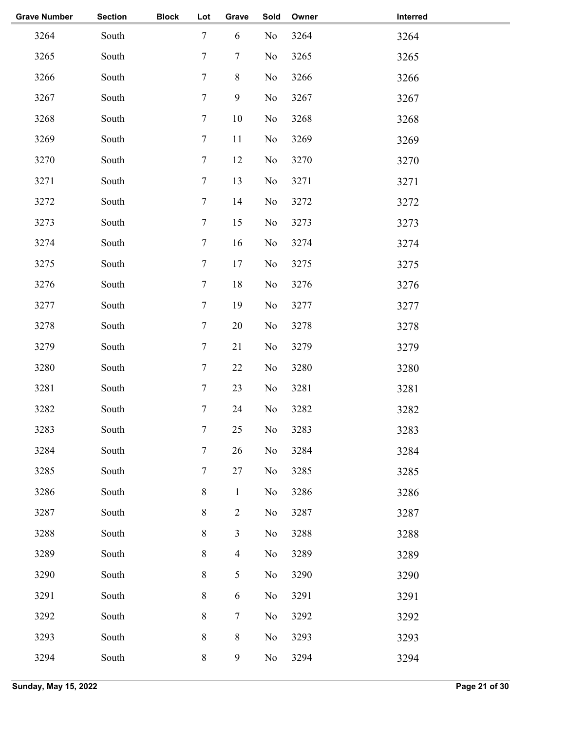| <b>Grave Number</b> | <b>Section</b> | <b>Block</b> | Lot            | Grave            | Sold | Owner | Interred |  |
|---------------------|----------------|--------------|----------------|------------------|------|-------|----------|--|
| 3264                | South          |              | $\overline{7}$ | 6                | No   | 3264  | 3264     |  |
| 3265                | South          |              | 7              | $\tau$           | No   | 3265  | 3265     |  |
| 3266                | South          |              | $\tau$         | $8\,$            | No   | 3266  | 3266     |  |
| 3267                | South          |              | $\tau$         | $\boldsymbol{9}$ | No   | 3267  | 3267     |  |
| 3268                | South          |              | $\tau$         | 10               | No   | 3268  | 3268     |  |
| 3269                | South          |              | $\tau$         | 11               | No   | 3269  | 3269     |  |
| 3270                | South          |              | $\tau$         | 12               | No   | 3270  | 3270     |  |
| 3271                | South          |              | $\tau$         | 13               | No   | 3271  | 3271     |  |
| 3272                | South          |              | $\tau$         | 14               | No   | 3272  | 3272     |  |
| 3273                | South          |              | $\overline{7}$ | 15               | No   | 3273  | 3273     |  |
| 3274                | South          |              | $\tau$         | 16               | No   | 3274  | 3274     |  |
| 3275                | South          |              | $\tau$         | 17               | No   | 3275  | 3275     |  |
| 3276                | South          |              | $\tau$         | 18               | No   | 3276  | 3276     |  |
| 3277                | South          |              | $\tau$         | 19               | No   | 3277  | 3277     |  |
| 3278                | South          |              | $\overline{7}$ | 20               | No   | 3278  | 3278     |  |
| 3279                | South          |              | $\tau$         | 21               | No   | 3279  | 3279     |  |
| 3280                | South          |              | $\tau$         | 22               | No   | 3280  | 3280     |  |
| 3281                | South          |              | $\tau$         | 23               | No   | 3281  | 3281     |  |
| 3282                | South          |              | 7              | 24               | No   | 3282  | 3282     |  |
| 3283                | South          |              | 7              | 25               | No   | 3283  | 3283     |  |
| 3284                | South          |              | $\tau$         | 26               | No   | 3284  | 3284     |  |
| 3285                | South          |              | $\tau$         | 27               | No   | 3285  | 3285     |  |
| 3286                | South          |              | $\,8\,$        | $\mathbf{1}$     | No   | 3286  | 3286     |  |
| 3287                | South          |              | $\, 8$         | $\overline{2}$   | No   | 3287  | 3287     |  |
| 3288                | South          |              | $\,8\,$        | $\mathfrak{Z}$   | No   | 3288  | 3288     |  |
| 3289                | South          |              | $\, 8$         | $\overline{4}$   | No   | 3289  | 3289     |  |
| 3290                | South          |              | $\,8\,$        | 5                | No   | 3290  | 3290     |  |
| 3291                | South          |              | $\, 8$         | 6                | No   | 3291  | 3291     |  |
| 3292                | South          |              | $\, 8$         | $\tau$           | No   | 3292  | 3292     |  |
| 3293                | South          |              | $\,8\,$        | $8\,$            | No   | 3293  | 3293     |  |
| 3294                | South          |              | $\,8\,$        | 9                | No   | 3294  | 3294     |  |
|                     |                |              |                |                  |      |       |          |  |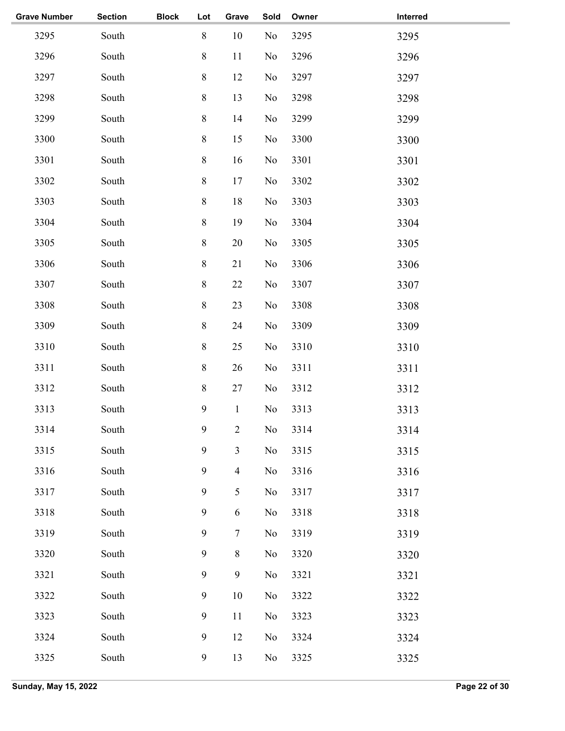| <b>Grave Number</b> | <b>Section</b> | <b>Block</b> | Lot              | Grave          | Sold           | Owner | Interred |
|---------------------|----------------|--------------|------------------|----------------|----------------|-------|----------|
| 3295                | South          |              | $8\,$            | 10             | No             | 3295  | 3295     |
| 3296                | South          |              | $8\,$            | 11             | No             | 3296  | 3296     |
| 3297                | South          |              | $8\,$            | 12             | N <sub>o</sub> | 3297  | 3297     |
| 3298                | South          |              | $8\,$            | 13             | No             | 3298  | 3298     |
| 3299                | South          |              | $\, 8$           | 14             | No             | 3299  | 3299     |
| 3300                | South          |              | $\, 8$           | 15             | No             | 3300  | 3300     |
| 3301                | South          |              | $\, 8$           | 16             | No             | 3301  | 3301     |
| 3302                | South          |              | $\, 8$           | 17             | No             | 3302  | 3302     |
| 3303                | South          |              | $\, 8$           | 18             | N <sub>o</sub> | 3303  | 3303     |
| 3304                | South          |              | $8\,$            | 19             | No             | 3304  | 3304     |
| 3305                | South          |              | $8\,$            | 20             | No             | 3305  | 3305     |
| 3306                | South          |              | $\, 8$           | 21             | No             | 3306  | 3306     |
| 3307                | South          |              | $\, 8$           | 22             | No             | 3307  | 3307     |
| 3308                | South          |              | $\,8\,$          | 23             | No             | 3308  | 3308     |
| 3309                | South          |              | $\,8\,$          | 24             | No             | 3309  | 3309     |
| 3310                | South          |              | $\,8\,$          | 25             | No             | 3310  | 3310     |
| 3311                | South          |              | $\,8\,$          | 26             | N <sub>o</sub> | 3311  | 3311     |
| 3312                | South          |              | $8\,$            | 27             | No             | 3312  | 3312     |
| 3313                | South          |              | $\boldsymbol{9}$ | $\mathbf{1}$   | N <sub>0</sub> | 3313  | 3313     |
| 3314                | South          |              | 9                | $\overline{2}$ | No             | 3314  | 3314     |
| 3315                | South          |              | $\boldsymbol{9}$ | $\mathfrak{Z}$ | No             | 3315  | 3315     |
| 3316                | South          |              | $\mathbf{9}$     | $\overline{4}$ | N <sub>0</sub> | 3316  | 3316     |
| 3317                | South          |              | $\mathbf{9}$     | $\mathfrak{S}$ | N <sub>0</sub> | 3317  | 3317     |
| 3318                | South          |              | $\boldsymbol{9}$ | 6              | No             | 3318  | 3318     |
| 3319                | South          |              | $\boldsymbol{9}$ | $\tau$         | No             | 3319  | 3319     |
| 3320                | South          |              | $\mathbf{9}$     | $8\,$          | No             | 3320  | 3320     |
| 3321                | South          |              | $\mathbf{9}$     | $\overline{9}$ | No             | 3321  | 3321     |
| 3322                | South          |              | 9                | 10             | No             | 3322  | 3322     |
| 3323                | South          |              | $\boldsymbol{9}$ | 11             | No             | 3323  | 3323     |
| 3324                | South          |              | $\boldsymbol{9}$ | 12             | No             | 3324  | 3324     |
| 3325                | South          |              | $\boldsymbol{9}$ | 13             | No             | 3325  | 3325     |
|                     |                |              |                  |                |                |       |          |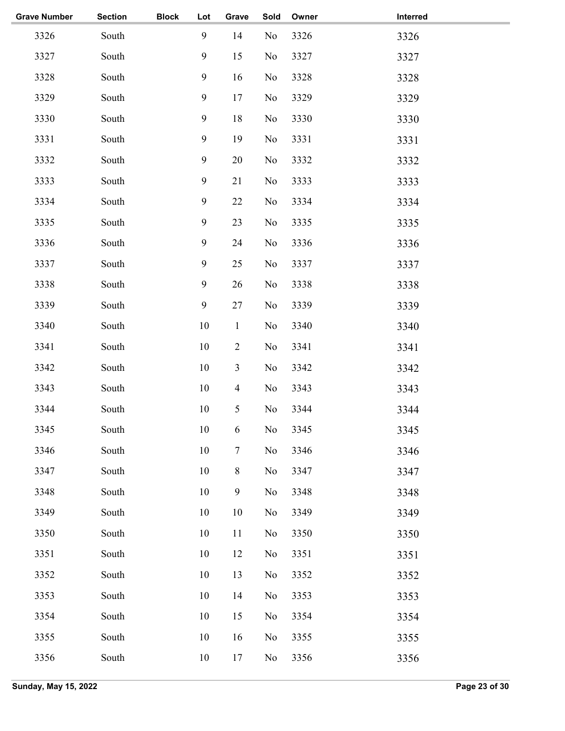| <b>Grave Number</b> | <b>Section</b> | <b>Block</b> | Lot              | Grave          | Sold | Owner | Interred |  |
|---------------------|----------------|--------------|------------------|----------------|------|-------|----------|--|
| 3326                | South          |              | 9                | 14             | No   | 3326  | 3326     |  |
| 3327                | South          |              | $\boldsymbol{9}$ | 15             | No   | 3327  | 3327     |  |
| 3328                | South          |              | $\boldsymbol{9}$ | 16             | No   | 3328  | 3328     |  |
| 3329                | South          |              | $\boldsymbol{9}$ | 17             | No   | 3329  | 3329     |  |
| 3330                | South          |              | 9                | 18             | No   | 3330  | 3330     |  |
| 3331                | South          |              | 9                | 19             | No   | 3331  | 3331     |  |
| 3332                | South          |              | $\boldsymbol{9}$ | 20             | No   | 3332  | 3332     |  |
| 3333                | South          |              | 9                | 21             | No   | 3333  | 3333     |  |
| 3334                | South          |              | 9                | 22             | No   | 3334  | 3334     |  |
| 3335                | South          |              | $\boldsymbol{9}$ | 23             | No   | 3335  | 3335     |  |
| 3336                | South          |              | $\boldsymbol{9}$ | 24             | No   | 3336  | 3336     |  |
| 3337                | South          |              | 9                | 25             | No   | 3337  | 3337     |  |
| 3338                | South          |              | 9                | 26             | No   | 3338  | 3338     |  |
| 3339                | South          |              | $\boldsymbol{9}$ | 27             | No   | 3339  | 3339     |  |
| 3340                | South          |              | 10               | $\mathbf{1}$   | No   | 3340  | 3340     |  |
| 3341                | South          |              | 10               | $\overline{2}$ | No   | 3341  | 3341     |  |
| 3342                | South          |              | 10               | $\mathfrak{Z}$ | No   | 3342  | 3342     |  |
| 3343                | South          |              | 10               | $\overline{4}$ | No   | 3343  | 3343     |  |
| 3344                | South          |              | 10               | 5              | No   | 3344  | 3344     |  |
| 3345                | South          |              | 10               | 6              | No   | 3345  | 3345     |  |
| 3346                | South          |              | $10\,$           | $\tau$         | No   | 3346  | 3346     |  |
| 3347                | South          |              | $10\,$           | $8\,$          | No   | 3347  | 3347     |  |
| 3348                | South          |              | 10               | $\overline{9}$ | No   | 3348  | 3348     |  |
| 3349                | South          |              | 10               | 10             | No   | 3349  | 3349     |  |
| 3350                | South          |              | 10               | 11             | No   | 3350  | 3350     |  |
| 3351                | South          |              | 10               | 12             | No   | 3351  | 3351     |  |
| 3352                | South          |              | 10               | 13             | No   | 3352  | 3352     |  |
| 3353                | South          |              | 10               | 14             | No   | 3353  | 3353     |  |
| 3354                | South          |              | 10               | 15             | No   | 3354  | 3354     |  |
| 3355                | South          |              | 10               | 16             | No   | 3355  | 3355     |  |
| 3356                | South          |              | 10               | 17             | No   | 3356  | 3356     |  |
|                     |                |              |                  |                |      |       |          |  |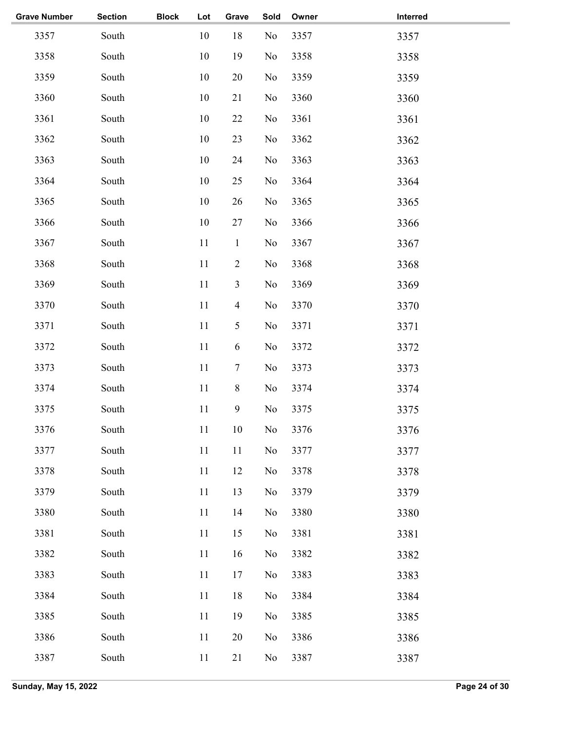| <b>Grave Number</b> | <b>Section</b> | <b>Block</b> | Lot | Grave            | Sold           | Owner | Interred |
|---------------------|----------------|--------------|-----|------------------|----------------|-------|----------|
| 3357                | South          |              | 10  | 18               | No             | 3357  | 3357     |
| 3358                | South          |              | 10  | 19               | No             | 3358  | 3358     |
| 3359                | South          |              | 10  | 20               | No             | 3359  | 3359     |
| 3360                | South          |              | 10  | 21               | No             | 3360  | 3360     |
| 3361                | South          |              | 10  | 22               | No             | 3361  | 3361     |
| 3362                | South          |              | 10  | 23               | N <sub>0</sub> | 3362  | 3362     |
| 3363                | South          |              | 10  | 24               | N <sub>0</sub> | 3363  | 3363     |
| 3364                | South          |              | 10  | 25               | No             | 3364  | 3364     |
| 3365                | South          |              | 10  | 26               | No             | 3365  | 3365     |
| 3366                | South          |              | 10  | 27               | N <sub>o</sub> | 3366  | 3366     |
| 3367                | South          |              | 11  | $\mathbf{1}$     | No             | 3367  | 3367     |
| 3368                | South          |              | 11  | $\overline{2}$   | No             | 3368  | 3368     |
| 3369                | South          |              | 11  | $\mathfrak{Z}$   | No             | 3369  | 3369     |
| 3370                | South          |              | 11  | $\overline{4}$   | No             | 3370  | 3370     |
| 3371                | South          |              | 11  | $\mathfrak{S}$   | No             | 3371  | 3371     |
| 3372                | South          |              | 11  | 6                | No             | 3372  | 3372     |
| 3373                | South          |              | 11  | $\tau$           | N <sub>o</sub> | 3373  | 3373     |
| 3374                | South          |              | 11  | $8\,$            | No             | 3374  | 3374     |
| 3375                | South          |              | 11  | $\boldsymbol{9}$ | No             | 3375  | 3375     |
| 3376                | South          |              | 11  | 10               | No             | 3376  | 3376     |
| 3377                | South          |              | 11  | 11               | No             | 3377  | 3377     |
| 3378                | South          |              | 11  | 12               | N <sub>0</sub> | 3378  | 3378     |
| 3379                | South          |              | 11  | 13               | N <sub>0</sub> | 3379  | 3379     |
| 3380                | South          |              | 11  | 14               | No             | 3380  | 3380     |
| 3381                | South          |              | 11  | 15               | N <sub>0</sub> | 3381  | 3381     |
| 3382                | South          |              | 11  | 16               | No             | 3382  | 3382     |
| 3383                | South          |              | 11  | 17               | N <sub>0</sub> | 3383  | 3383     |
| 3384                | South          |              | 11  | 18               | N <sub>0</sub> | 3384  | 3384     |
| 3385                | South          |              | 11  | 19               | N <sub>0</sub> | 3385  | 3385     |
| 3386                | South          |              | 11  | 20               | N <sub>0</sub> | 3386  | 3386     |
| 3387                | South          |              | 11  | 21               | No             | 3387  | 3387     |
|                     |                |              |     |                  |                |       |          |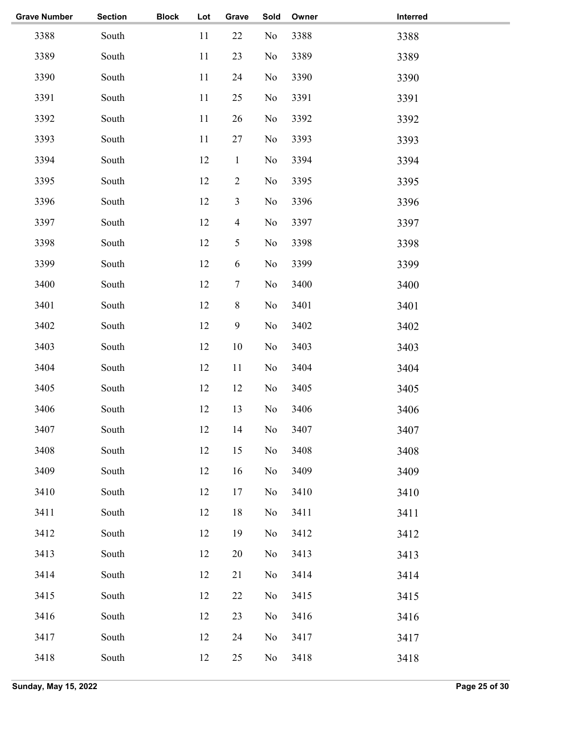| <b>Section</b> | <b>Block</b> | Lot | Grave            | Sold           | Owner | Interred |  |
|----------------|--------------|-----|------------------|----------------|-------|----------|--|
| South          |              | 11  | 22               | No             | 3388  | 3388     |  |
| South          |              | 11  | 23               | N <sub>0</sub> | 3389  | 3389     |  |
| South          |              | 11  | 24               | No             | 3390  | 3390     |  |
| South          |              | 11  | 25               | N <sub>o</sub> | 3391  | 3391     |  |
| South          |              | 11  | 26               | No             | 3392  | 3392     |  |
| South          |              | 11  | 27               | N <sub>0</sub> | 3393  | 3393     |  |
| South          |              | 12  | $\mathbf{1}$     | No             | 3394  | 3394     |  |
| South          |              | 12  | $\overline{2}$   | No             | 3395  | 3395     |  |
| South          |              | 12  | 3                | No             | 3396  | 3396     |  |
| South          |              | 12  | $\overline{4}$   | No             | 3397  | 3397     |  |
| South          |              | 12  | 5                | No             | 3398  | 3398     |  |
| South          |              | 12  | 6                | No             | 3399  | 3399     |  |
| South          |              | 12  | $\boldsymbol{7}$ | No             | 3400  | 3400     |  |
| South          |              | 12  | $\,8\,$          | No             | 3401  | 3401     |  |
| South          |              | 12  | $\boldsymbol{9}$ | No             | 3402  | 3402     |  |
| South          |              | 12  | 10               | No             | 3403  | 3403     |  |
| South          |              | 12  | 11               | No             | 3404  | 3404     |  |
| South          |              | 12  | 12               | No             | 3405  | 3405     |  |
| South          |              | 12  | 13               | N <sub>0</sub> | 3406  | 3406     |  |
| South          |              | 12  | 14               | No             | 3407  | 3407     |  |
| South          |              | 12  | 15               | No             | 3408  | 3408     |  |
| South          |              | 12  | 16               | No             | 3409  | 3409     |  |
| South          |              | 12  | 17               | No             | 3410  | 3410     |  |
| South          |              | 12  | 18               | No             | 3411  | 3411     |  |
| South          |              | 12  | 19               | No             | 3412  | 3412     |  |
| South          |              | 12  | 20               | No             | 3413  | 3413     |  |
| South          |              | 12  | 21               | No             | 3414  | 3414     |  |
| South          |              | 12  | 22               | No             | 3415  | 3415     |  |
| South          |              | 12  | 23               | No             | 3416  | 3416     |  |
| South          |              | 12  | 24               | N <sub>0</sub> | 3417  | 3417     |  |
| South          |              | 12  | 25               | No             | 3418  | 3418     |  |
|                |              |     |                  |                |       |          |  |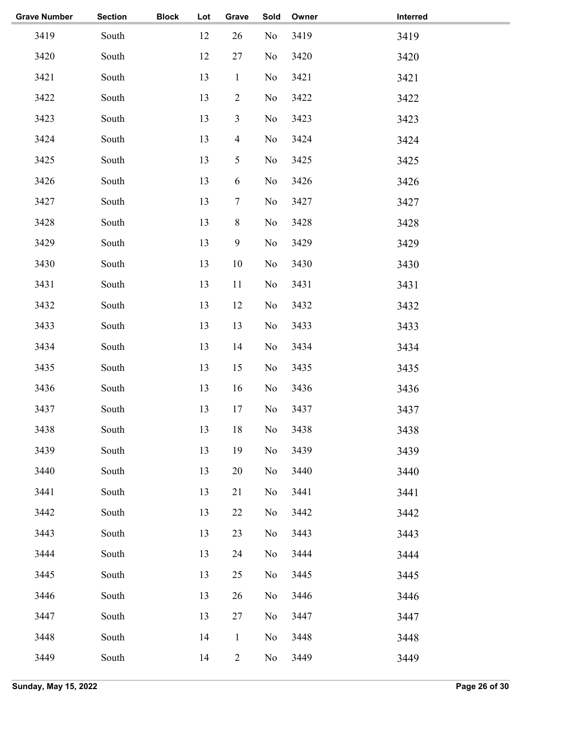| <b>Grave Number</b> | <b>Section</b> | <b>Block</b> | Lot | Grave            | Sold           | Owner | Interred |
|---------------------|----------------|--------------|-----|------------------|----------------|-------|----------|
| 3419                | South          |              | 12  | 26               | No             | 3419  | 3419     |
| 3420                | South          |              | 12  | 27               | No             | 3420  | 3420     |
| 3421                | South          |              | 13  | $\mathbf{1}$     | No             | 3421  | 3421     |
| 3422                | South          |              | 13  | $\overline{2}$   | No             | 3422  | 3422     |
| 3423                | South          |              | 13  | $\mathfrak{Z}$   | No             | 3423  | 3423     |
| 3424                | South          |              | 13  | $\overline{4}$   | No             | 3424  | 3424     |
| 3425                | South          |              | 13  | 5                | No             | 3425  | 3425     |
| 3426                | South          |              | 13  | 6                | No             | 3426  | 3426     |
| 3427                | South          |              | 13  | $\tau$           | No             | 3427  | 3427     |
| 3428                | South          |              | 13  | $8\,$            | No             | 3428  | 3428     |
| 3429                | South          |              | 13  | $\boldsymbol{9}$ | No             | 3429  | 3429     |
| 3430                | South          |              | 13  | 10               | N <sub>o</sub> | 3430  | 3430     |
| 3431                | South          |              | 13  | 11               | No             | 3431  | 3431     |
| 3432                | South          |              | 13  | 12               | No             | 3432  | 3432     |
| 3433                | South          |              | 13  | 13               | No             | 3433  | 3433     |
| 3434                | South          |              | 13  | 14               | No             | 3434  | 3434     |
| 3435                | South          |              | 13  | 15               | No             | 3435  | 3435     |
| 3436                | South          |              | 13  | 16               | No             | 3436  | 3436     |
| 3437                | South          |              | 13  | 17               | No             | 3437  | 3437     |
| 3438                | South          |              | 13  | 18               | No             | 3438  | 3438     |
| 3439                | South          |              | 13  | 19               | No             | 3439  | 3439     |
| 3440                | South          |              | 13  | 20               | N <sub>o</sub> | 3440  | 3440     |
| 3441                | South          |              | 13  | 21               | No             | 3441  | 3441     |
| 3442                | South          |              | 13  | 22               | No             | 3442  | 3442     |
| 3443                | South          |              | 13  | 23               | No             | 3443  | 3443     |
| 3444                | South          |              | 13  | 24               | No             | 3444  | 3444     |
| 3445                | South          |              | 13  | 25               | No             | 3445  | 3445     |
| 3446                | South          |              | 13  | 26               | N <sub>o</sub> | 3446  | 3446     |
| 3447                | South          |              | 13  | 27               | No             | 3447  | 3447     |
| 3448                | South          |              | 14  | $\mathbf{1}$     | No             | 3448  | 3448     |
| 3449                | South          |              | 14  | $\overline{2}$   | No             | 3449  | 3449     |
|                     |                |              |     |                  |                |       |          |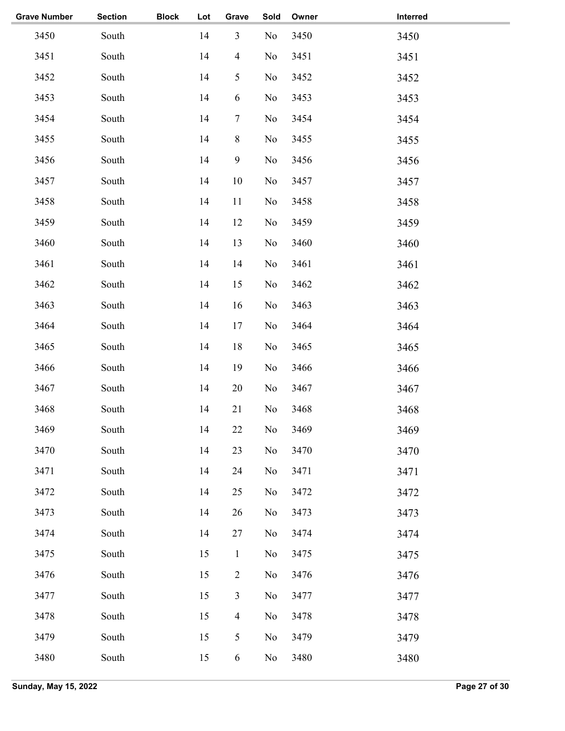| <b>Grave Number</b> | <b>Section</b> | <b>Block</b> | Lot | Grave            | Sold           | Owner | Interred |
|---------------------|----------------|--------------|-----|------------------|----------------|-------|----------|
| 3450                | South          |              | 14  | $\overline{3}$   | No             | 3450  | 3450     |
| 3451                | South          |              | 14  | $\overline{4}$   | No             | 3451  | 3451     |
| 3452                | South          |              | 14  | 5                | No             | 3452  | 3452     |
| 3453                | South          |              | 14  | 6                | No             | 3453  | 3453     |
| 3454                | South          |              | 14  | 7                | No             | 3454  | 3454     |
| 3455                | South          |              | 14  | $8\,$            | No             | 3455  | 3455     |
| 3456                | South          |              | 14  | $\boldsymbol{9}$ | No             | 3456  | 3456     |
| 3457                | South          |              | 14  | 10               | No             | 3457  | 3457     |
| 3458                | South          |              | 14  | 11               | No             | 3458  | 3458     |
| 3459                | South          |              | 14  | 12               | No             | 3459  | 3459     |
| 3460                | South          |              | 14  | 13               | No             | 3460  | 3460     |
| 3461                | South          |              | 14  | 14               | No             | 3461  | 3461     |
| 3462                | South          |              | 14  | 15               | No             | 3462  | 3462     |
| 3463                | South          |              | 14  | 16               | N <sub>0</sub> | 3463  | 3463     |
| 3464                | South          |              | 14  | 17               | N <sub>0</sub> | 3464  | 3464     |
| 3465                | South          |              | 14  | 18               | No             | 3465  | 3465     |
| 3466                | South          |              | 14  | 19               | N <sub>0</sub> | 3466  | 3466     |
| 3467                | South          |              | 14  | 20               | N <sub>0</sub> | 3467  | 3467     |
| 3468                | South          |              | 14  | 21               | No             | 3468  | 3468     |
| 3469                | South          |              | 14  | 22               | No             | 3469  | 3469     |
| 3470                | South          |              | 14  | 23               | No             | 3470  | 3470     |
| 3471                | South          |              | 14  | 24               | N <sub>0</sub> | 3471  | 3471     |
| 3472                | South          |              | 14  | 25               | N <sub>0</sub> | 3472  | 3472     |
| 3473                | South          |              | 14  | 26               | No             | 3473  | 3473     |
| 3474                | South          |              | 14  | 27               | No             | 3474  | 3474     |
| 3475                | South          |              | 15  | $\mathbf{1}$     | No             | 3475  | 3475     |
| 3476                | South          |              | 15  | $\overline{2}$   | No             | 3476  | 3476     |
| 3477                | South          |              | 15  | $\mathfrak{Z}$   | No             | 3477  | 3477     |
| 3478                | South          |              | 15  | $\overline{4}$   | No             | 3478  | 3478     |
| 3479                | South          |              | 15  | 5                | No             | 3479  | 3479     |
| 3480                | South          |              | 15  | 6                | No             | 3480  | 3480     |
|                     |                |              |     |                  |                |       |          |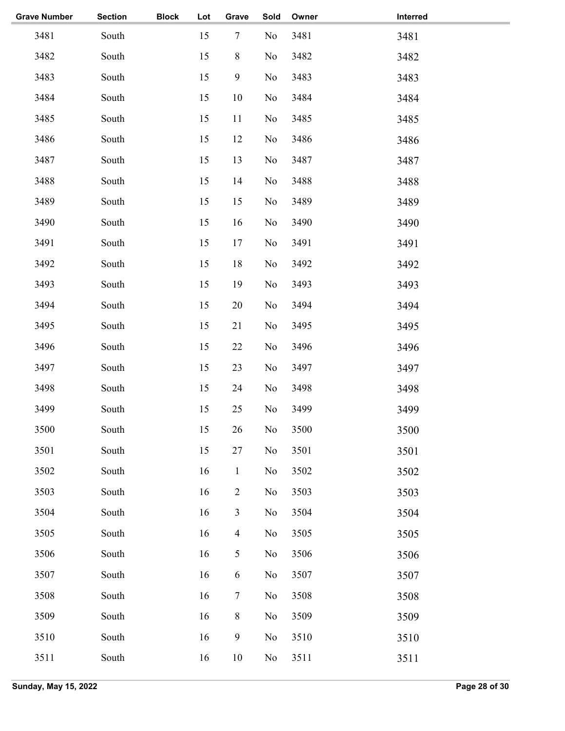| <b>Grave Number</b> | <b>Section</b> | <b>Block</b> | Lot | Grave            | Sold           | Owner | Interred |  |
|---------------------|----------------|--------------|-----|------------------|----------------|-------|----------|--|
| 3481                | South          |              | 15  | $\tau$           | No             | 3481  | 3481     |  |
| 3482                | South          |              | 15  | $8\,$            | No             | 3482  | 3482     |  |
| 3483                | South          |              | 15  | $\boldsymbol{9}$ | No             | 3483  | 3483     |  |
| 3484                | South          |              | 15  | 10               | No             | 3484  | 3484     |  |
| 3485                | South          |              | 15  | 11               | N <sub>0</sub> | 3485  | 3485     |  |
| 3486                | South          |              | 15  | 12               | N <sub>0</sub> | 3486  | 3486     |  |
| 3487                | South          |              | 15  | 13               | N <sub>0</sub> | 3487  | 3487     |  |
| 3488                | South          |              | 15  | 14               | N <sub>0</sub> | 3488  | 3488     |  |
| 3489                | South          |              | 15  | 15               | N <sub>0</sub> | 3489  | 3489     |  |
| 3490                | South          |              | 15  | 16               | N <sub>0</sub> | 3490  | 3490     |  |
| 3491                | South          |              | 15  | 17               | N <sub>0</sub> | 3491  | 3491     |  |
| 3492                | South          |              | 15  | 18               | N <sub>0</sub> | 3492  | 3492     |  |
| 3493                | South          |              | 15  | 19               | No             | 3493  | 3493     |  |
| 3494                | South          |              | 15  | 20               | N <sub>0</sub> | 3494  | 3494     |  |
| 3495                | South          |              | 15  | 21               | No             | 3495  | 3495     |  |
| 3496                | South          |              | 15  | 22               | No             | 3496  | 3496     |  |
| 3497                | South          |              | 15  | 23               | No             | 3497  | 3497     |  |
| 3498                | South          |              | 15  | 24               | N <sub>0</sub> | 3498  | 3498     |  |
| 3499                | South          |              | 15  | 25               | No             | 3499  | 3499     |  |
| 3500                | South          |              | 15  | 26               | No             | 3500  | 3500     |  |
| 3501                | South          |              | 15  | 27               | No             | 3501  | 3501     |  |
| 3502                | South          |              | 16  | $\mathbf{1}$     | No             | 3502  | 3502     |  |
| 3503                | South          |              | 16  | $\overline{2}$   | No             | 3503  | 3503     |  |
| 3504                | South          |              | 16  | $\mathfrak{Z}$   | No             | 3504  | 3504     |  |
| 3505                | South          |              | 16  | $\overline{4}$   | No             | 3505  | 3505     |  |
| 3506                | South          |              | 16  | 5                | No             | 3506  | 3506     |  |
| 3507                | South          |              | 16  | 6                | No             | 3507  | 3507     |  |
| 3508                | South          |              | 16  | $\tau$           | No             | 3508  | 3508     |  |
| 3509                | South          |              | 16  | $8\,$            | No             | 3509  | 3509     |  |
| 3510                | South          |              | 16  | 9                | No             | 3510  | 3510     |  |
| 3511                | South          |              | 16  | 10               | No             | 3511  | 3511     |  |
|                     |                |              |     |                  |                |       |          |  |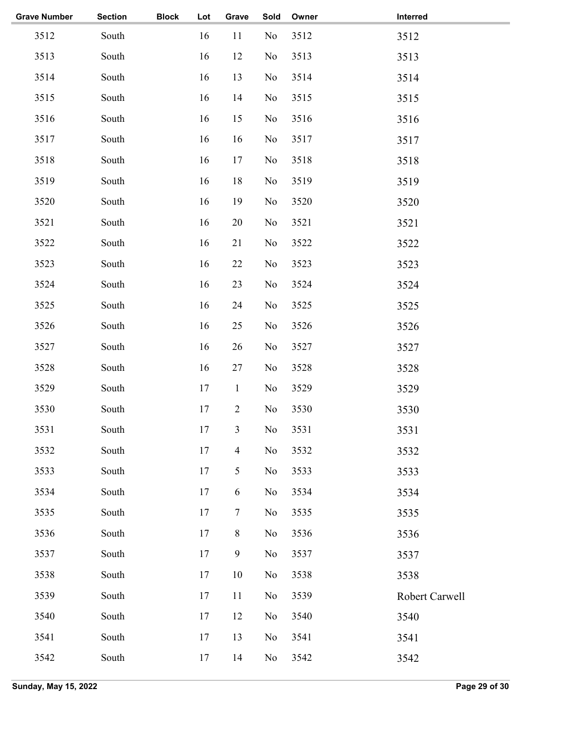| <b>Grave Number</b> | <b>Section</b> | <b>Block</b> | Lot | Grave          | Sold           | Owner | Interred       |
|---------------------|----------------|--------------|-----|----------------|----------------|-------|----------------|
| 3512                | South          |              | 16  | 11             | No             | 3512  | 3512           |
| 3513                | South          |              | 16  | 12             | No             | 3513  | 3513           |
| 3514                | South          |              | 16  | 13             | No             | 3514  | 3514           |
| 3515                | South          |              | 16  | 14             | No             | 3515  | 3515           |
| 3516                | South          |              | 16  | 15             | N <sub>0</sub> | 3516  | 3516           |
| 3517                | South          |              | 16  | 16             | N <sub>0</sub> | 3517  | 3517           |
| 3518                | South          |              | 16  | 17             | N <sub>0</sub> | 3518  | 3518           |
| 3519                | South          |              | 16  | 18             | No             | 3519  | 3519           |
| 3520                | South          |              | 16  | 19             | N <sub>0</sub> | 3520  | 3520           |
| 3521                | South          |              | 16  | 20             | No             | 3521  | 3521           |
| 3522                | South          |              | 16  | 21             | N <sub>0</sub> | 3522  | 3522           |
| 3523                | South          |              | 16  | 22             | No             | 3523  | 3523           |
| 3524                | South          |              | 16  | 23             | No             | 3524  | 3524           |
| 3525                | South          |              | 16  | 24             | No             | 3525  | 3525           |
| 3526                | South          |              | 16  | 25             | N <sub>0</sub> | 3526  | 3526           |
| 3527                | South          |              | 16  | 26             | No             | 3527  | 3527           |
| 3528                | South          |              | 16  | 27             | N <sub>0</sub> | 3528  | 3528           |
| 3529                | South          |              | 17  | $\mathbf{1}$   | No             | 3529  | 3529           |
| 3530                | South          |              | 17  | $\mathbf{2}$   | No             | 3530  | 3530           |
| 3531                | South          |              | 17  | $\overline{3}$ | $\rm No$       | 3531  | 3531           |
| 3532                | South          |              | 17  | $\overline{4}$ | No             | 3532  | 3532           |
| 3533                | South          |              | 17  | 5              | No             | 3533  | 3533           |
| 3534                | South          |              | 17  | 6              | No             | 3534  | 3534           |
| 3535                | South          |              | 17  | $\tau$         | No             | 3535  | 3535           |
| 3536                | South          |              | 17  | $8\,$          | No             | 3536  | 3536           |
| 3537                | South          |              | 17  | 9              | No             | 3537  | 3537           |
| 3538                | South          |              | 17  | $10\,$         | N <sub>0</sub> | 3538  | 3538           |
| 3539                | South          |              | 17  | 11             | N <sub>0</sub> | 3539  | Robert Carwell |
| 3540                | South          |              | 17  | 12             | N <sub>0</sub> | 3540  | 3540           |
| 3541                | South          |              | 17  | 13             | N <sub>0</sub> | 3541  | 3541           |
| 3542                | South          |              | 17  | 14             | N <sub>0</sub> | 3542  | 3542           |
|                     |                |              |     |                |                |       |                |